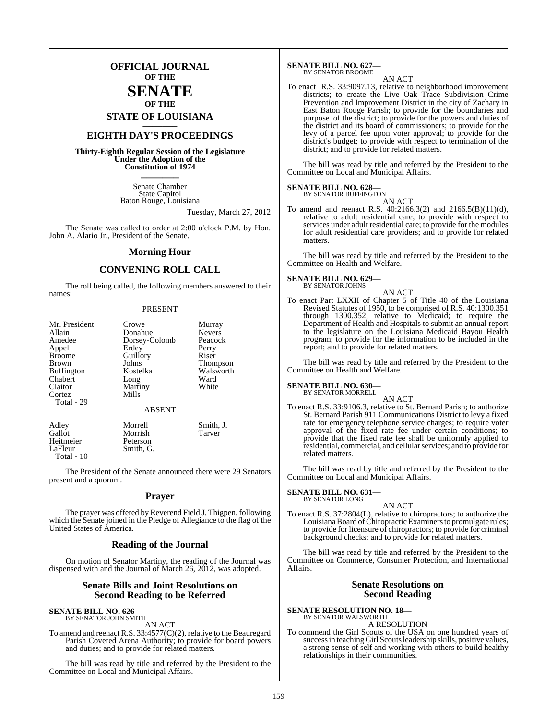## **OFFICIAL JOURNAL OF THE**

## **SENATE OF THE**

**STATE OF LOUISIANA \_\_\_\_\_\_\_**

# **EIGHTH DAY'S PROCEEDINGS \_\_\_\_\_\_\_**

**Thirty-Eighth Regular Session of the Legislature Under the Adoption of the Constitution of 1974 \_\_\_\_\_\_\_**

> Senate Chamber State Capitol Baton Rouge, Louisiana

> > Tuesday, March 27, 2012

The Senate was called to order at 2:00 o'clock P.M. by Hon. John A. Alario Jr., President of the Senate.

#### **Morning Hour**

### **CONVENING ROLL CALL**

The roll being called, the following members answered to their names:

#### PRESENT

| Mr. President<br>Allain<br>Amedee<br>Appel<br><b>Broome</b><br><b>Brown</b><br><b>Buffington</b><br>Chabert<br>Claitor | Crowe<br>Donahue<br>Dorsey-Colomb<br>Erdey<br>Guillory<br>Johns<br>Kostelka<br>Long<br>Martiny | Murray<br><b>Nevers</b><br>Peacock<br>Perry<br>Riser<br><b>Thompson</b><br>Walsworth<br>Ward<br>White |
|------------------------------------------------------------------------------------------------------------------------|------------------------------------------------------------------------------------------------|-------------------------------------------------------------------------------------------------------|
| Cortez<br>Total - 29                                                                                                   | Mills<br><b>ABSENT</b>                                                                         |                                                                                                       |
| Adley<br>Gallot<br>Heitmeier<br>LaFleur                                                                                | Morrell<br>Morrish<br>Peterson<br>Smith. G.                                                    | Smith, J.<br>Tarver                                                                                   |

The President of the Senate announced there were 29 Senators present and a quorum.

#### **Prayer**

The prayer was offered by Reverend Field J. Thigpen, following which the Senate joined in the Pledge of Allegiance to the flag of the United States of America.

#### **Reading of the Journal**

On motion of Senator Martiny, the reading of the Journal was dispensed with and the Journal of March 26, 2012, was adopted.

#### **Senate Bills and Joint Resolutions on Second Reading to be Referred**

#### **SENATE BILL NO. 626** BY SENATOR JOHN SMITH

Total - 10

AN ACT

To amend and reenact R.S. 33:4577(C)(2), relative to the Beauregard Parish Covered Arena Authority; to provide for board powers and duties; and to provide for related matters.

The bill was read by title and referred by the President to the Committee on Local and Municipal Affairs.

#### **SENATE BILL NO. 627—** BY SENATOR BROOME

AN ACT To enact R.S. 33:9097.13, relative to neighborhood improvement districts; to create the Live Oak Trace Subdivision Crime Prevention and Improvement District in the city of Zachary in East Baton Rouge Parish; to provide for the boundaries and purpose of the district; to provide for the powers and duties of the district and its board of commissioners; to provide for the levy of a parcel fee upon voter approval; to provide for the district's budget; to provide with respect to termination of the district; and to provide for related matters.

The bill was read by title and referred by the President to the Committee on Local and Municipal Affairs.

# **SENATE BILL NO. 628—** BY SENATOR BUFFINGTON

AN ACT

To amend and reenact R.S. 40:2166.3(2) and 2166.5(B)(11)(d), relative to adult residential care; to provide with respect to services under adult residential care; to provide for the modules for adult residential care providers; and to provide for related matters.

The bill was read by title and referred by the President to the Committee on Health and Welfare.

# **SENATE BILL NO. 629—** BY SENATOR JOHNS

AN ACT To enact Part LXXII of Chapter 5 of Title 40 of the Louisiana Revised Statutes of 1950, to be comprised of R.S. 40:1300.351 through 1300.352, relative to Medicaid; to require the Department of Health and Hospitals to submit an annual report to the legislature on the Louisiana Medicaid Bayou Health program; to provide for the information to be included in the report; and to provide for related matters.

The bill was read by title and referred by the President to the Committee on Health and Welfare.

#### **SENATE BILL NO. 630—** BY SENATOR MORRELL

AN ACT

To enact R.S. 33:9106.3, relative to St. Bernard Parish; to authorize St. Bernard Parish 911 Communications District to levy a fixed rate for emergency telephone service charges; to require voter approval of the fixed rate fee under certain conditions; to provide that the fixed rate fee shall be uniformly applied to residential, commercial, and cellularservices; and to provide for related matters.

The bill was read by title and referred by the President to the Committee on Local and Municipal Affairs.

#### **SENATE BILL NO. 631—** BY SENATOR LONG

AN ACT

To enact R.S. 37:2804(L), relative to chiropractors; to authorize the Louisiana Board of Chiropractic Examiners to promulgate rules; to provide for licensure of chiropractors; to provide for criminal background checks; and to provide for related matters.

The bill was read by title and referred by the President to the Committee on Commerce, Consumer Protection, and International Affairs.

#### **Senate Resolutions on Second Reading**

**SENATE RESOLUTION NO. 18—** BY SENATOR WALSWORTH A RESOLUTION

To commend the Girl Scouts of the USA on one hundred years of success in teaching Girl Scouts leadership skills, positive values, a strong sense of self and working with others to build healthy relationships in their communities.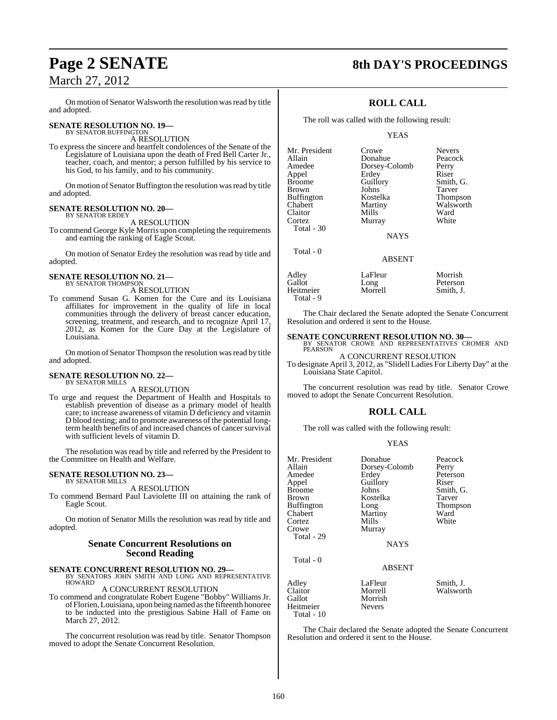On motion of Senator Walsworth the resolution was read by title and adopted.

# **SENATE RESOLUTION NO. 19—**<br>BY SENATOR BUFFINGTON

A RESOLUTION

To express the sincere and heartfelt condolences of the Senate of the Legislature of Louisiana upon the death of Fred Bell Carter Jr., teacher, coach, and mentor; a person fulfilled by his service to his God, to his family, and to his community.

On motion of Senator Buffington the resolution was read by title and adopted.

#### **SENATE RESOLUTION NO. 20—** BY SENATOR ERDEY

A RESOLUTION

To commend George Kyle Morris upon completing the requirements and earning the ranking of Eagle Scout.

On motion of Senator Erdey the resolution was read by title and adopted.

# **SENATE RESOLUTION NO. 21—** BY SENATOR THOMPSON

A RESOLUTION

To commend Susan G. Komen for the Cure and its Louisiana affiliates for improvement in the quality of life in local communities through the delivery of breast cancer education, screening, treatment, and research, and to recognize April 17, 2012, as Komen for the Cure Day at the Legislature of Louisiana.

On motion of Senator Thompson the resolution was read by title and adopted.

#### **SENATE RESOLUTION NO. 22—** BY SENATOR MILLS

A RESOLUTION

To urge and request the Department of Health and Hospitals to establish prevention of disease as a primary model of health care; to increase awareness of vitamin D deficiency and vitamin D blood testing; and to promote awareness of the potential longterm health benefits of and increased chances of cancer survival with sufficient levels of vitamin D.

The resolution was read by title and referred by the President to the Committee on Health and Welfare.

#### **SENATE RESOLUTION NO. 23—** BY SENATOR MILLS

A RESOLUTION

To commend Bernard Paul Laviolette III on attaining the rank of Eagle Scout.

On motion of Senator Mills the resolution was read by title and adopted.

#### **Senate Concurrent Resolutions on Second Reading**

**SENATE CONCURRENT RESOLUTION NO. 29—** BY SENATORS JOHN SMITH AND LONG AND REPRESENTATIVE **HOWARD** 

A CONCURRENT RESOLUTION

To commend and congratulate Robert Eugene "Bobby" Williams Jr. ofFlorien,Louisiana, upon being named asthe fifteenth honoree to be inducted into the prestigious Sabine Hall of Fame on March 27, 2012.

The concurrent resolution was read by title. Senator Thompson moved to adopt the Senate Concurrent Resolution.

# **Page 2 SENATE 8th DAY'S PROCEEDINGS**

## **ROLL CALL**

The roll was called with the following result:

Donahue

Murray

YEAS

Mr. President Crowe Nevers<br>
Allain Donahue Peacock Amedee Dorsey-Colomb Perry<br>Appel Erdey Riser Appel Erdey<br>Broome Guillory Brown Johns<br>Buffington Kostelka Buffington Kostelka Thompson<br>Chabert Martiny Walsworth Claitor Mills Ward<br>
Cortez Murray White Total - 30

Total - 0

Guillory Smith, G.<br>Johns Tarver Martiny Walsworth<br>
Mills Ward

**NAYS** 

#### ABSENT

| Adley                  | LaFleur | Morrish   |
|------------------------|---------|-----------|
| Gallot                 | Long    | Peterson  |
| Heitmeier<br>Total - 9 | Morrell | Smith. J. |

The Chair declared the Senate adopted the Senate Concurrent Resolution and ordered it sent to the House.

# **SENATE CONCURRENT RESOLUTION NO. 30—**<br>BY SENATOR CROWE AND REPRESENTATIVES CROMER AND<br>PEARSON

A CONCURRENT RESOLUTION To designate April 3, 2012, as "Slidell Ladies For Liberty Day" at the Louisiana State Capitol.

The concurrent resolution was read by title. Senator Crowe moved to adopt the Senate Concurrent Resolution.

## **ROLL CALL**

The roll was called with the following result:

#### YEAS

| Mr. President<br>Allain<br>Amedee<br>Appel<br>Broome<br>Brown<br>Buffington<br>Chabert<br>Cortez<br>Crowe<br>Total - 29 | Donahue<br>Dorsey-Colomb<br>Erdey<br>Guillory<br>Johns<br>Kostelka<br>Long<br>Martiny<br>Mills<br>Murray | Peacock<br>Perry<br>Peterson<br>Riser<br>Smith, G.<br>Tarver<br>Thompson<br>Ward<br>White |
|-------------------------------------------------------------------------------------------------------------------------|----------------------------------------------------------------------------------------------------------|-------------------------------------------------------------------------------------------|
|                                                                                                                         | <b>NAYS</b>                                                                                              |                                                                                           |
| Total - 0                                                                                                               | <b>ABSENT</b>                                                                                            |                                                                                           |
| Adley<br>Claitor<br>Gallot<br>Heitmeier                                                                                 | LaFleur<br>Morrell<br>Morrish<br><b>Nevers</b>                                                           | Smith, J.<br>Walsworth                                                                    |

Total - 10

The Chair declared the Senate adopted the Senate Concurrent Resolution and ordered it sent to the House.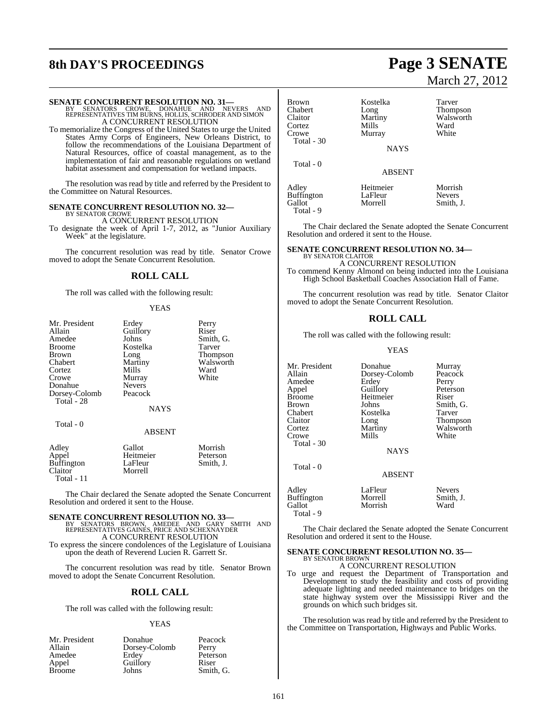# **8th DAY'S PROCEEDINGS Page 3 SENATE**

# March 27, 2012

**SENATE CONCURRENT RESOLUTION NO. 31—**<br>BY SENATORS CROWE, DONAHUE AND NEVERS AND<br>REPRESENTATIVES TIM BURNS, HOLLIS, SCHRODER AND SIMON A CONCURRENT RESOLUTION

To memorialize the Congress of the United States to urge the United States Army Corps of Engineers, New Orleans District, to follow the recommendations of the Louisiana Department of Natural Resources, office of coastal management, as to the implementation of fair and reasonable regulations on wetland habitat assessment and compensation for wetland impacts.

The resolution was read by title and referred by the President to the Committee on Natural Resources.

#### **SENATE CONCURRENT RESOLUTION NO. 32—** BY SENATOR CROWE

A CONCURRENT RESOLUTION

To designate the week of April 1-7, 2012, as "Junior Auxiliary Week" at the legislature.

The concurrent resolution was read by title. Senator Crowe moved to adopt the Senate Concurrent Resolution.

## **ROLL CALL**

The roll was called with the following result:

#### **YEAS**

| Mr. President<br>Allain<br>Amedee<br><b>Broome</b><br><b>Brown</b><br>Chabert<br>Cortez<br>Crowe<br>Donahue<br>Dorsey-Colomb<br>Total - 28<br>Total - 0 | Erdey<br>Guillory<br>Johns<br>Kostelka<br>Long<br>Martiny<br>Mills<br>Murray<br><b>Nevers</b><br>Peacock<br>NAYS<br><b>ABSENT</b> | Perry<br>Riser<br>Smith, G.<br>Tarver<br><b>Thompson</b><br>Walsworth<br>Ward<br>White |
|---------------------------------------------------------------------------------------------------------------------------------------------------------|-----------------------------------------------------------------------------------------------------------------------------------|----------------------------------------------------------------------------------------|
|                                                                                                                                                         |                                                                                                                                   |                                                                                        |
| Adley<br>Appel<br><b>Buffington</b><br>Claitor                                                                                                          | Gallot<br>Heitmeier<br>LaFleur<br>Morrell                                                                                         | Morrish<br>Peterson<br>Smith, J.                                                       |

The Chair declared the Senate adopted the Senate Concurrent Resolution and ordered it sent to the House.

Total - 11

**SENATE CONCURRENT RESOLUTION NO. 33—**<br>BY SENATORS BROWN, AMEDEE AND GARY SMITH AND<br>REPRESENTATIVES GAINES, PRICE AND SCHEXNAYDER A CONCURRENT RESOLUTION

To express the sincere condolences of the Legislature of Louisiana upon the death of Reverend Lucien R. Garrett Sr.

The concurrent resolution was read by title. Senator Brown moved to adopt the Senate Concurrent Resolution.

## **ROLL CALL**

The roll was called with the following result:

#### **YEAS**

| Mr. President | Donahue       | Peacock   |
|---------------|---------------|-----------|
| Allain        | Dorsey-Colomb | Perry     |
| Amedee        | Erdey         | Peterson  |
| Appel         | Guillory      | Riser     |
| <b>Broome</b> | Johns         | Smith, G. |

| <b>Brown</b>      | Kostelka      | Tarver          |
|-------------------|---------------|-----------------|
| Chabert           | Long          | <b>Thompson</b> |
| Claitor           | Martiny       | Walsworth       |
| Cortez            | Mills         | Ward            |
| Crowe             | Murray        | White           |
| Total - 30        |               |                 |
|                   | <b>NAYS</b>   |                 |
| Total - 0         |               |                 |
|                   | <b>ABSENT</b> |                 |
| Adley             | Heitmeier     | Morrish         |
| <b>Buffington</b> | LaFleur       | <b>Nevers</b>   |
| Gallot            | Morrell       | Smith, J.       |

Total - 9

Total - 9

The Chair declared the Senate adopted the Senate Concurrent Resolution and ordered it sent to the House.

#### **SENATE CONCURRENT RESOLUTION NO. 34—** BY SENATOR CLAITOR

A CONCURRENT RESOLUTION To commend Kenny Almond on being inducted into the Louisiana High School Basketball Coaches Association Hall of Fame.

The concurrent resolution was read by title. Senator Claitor moved to adopt the Senate Concurrent Resolution.

#### **ROLL CALL**

The roll was called with the following result:

#### YEAS

| Murray          |
|-----------------|
| Peacock         |
| Perry           |
| Peterson        |
| Riser           |
|                 |
| Smith, G.       |
| Tarver          |
| <b>Thompson</b> |
| Walsworth       |
| White           |
|                 |
|                 |
|                 |
|                 |
| <b>Nevers</b>   |
| Smith, J.       |
| Ward            |
|                 |

The Chair declared the Senate adopted the Senate Concurrent Resolution and ordered it sent to the House.

#### **SENATE CONCURRENT RESOLUTION NO. 35—** BY SENATOR BROWN

A CONCURRENT RESOLUTION

To urge and request the Department of Transportation and Development to study the feasibility and costs of providing adequate lighting and needed maintenance to bridges on the state highway system over the Mississippi River and the grounds on which such bridges sit.

The resolution was read by title and referred by the President to the Committee on Transportation, Highways and Public Works.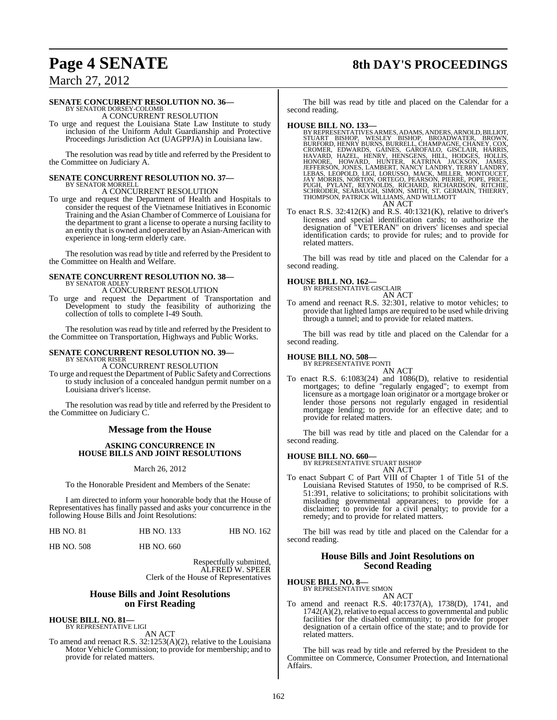# **Page 4 SENATE 8th DAY'S PROCEEDINGS**

## March 27, 2012

#### **SENATE CONCURRENT RESOLUTION NO. 36—**

BY SENATOR DORSEY-COLOMB A CONCURRENT RESOLUTION

To urge and request the Louisiana State Law Institute to study inclusion of the Uniform Adult Guardianship and Protective Proceedings Jurisdiction Act (UAGPPJA) in Louisiana law.

The resolution was read by title and referred by the President to the Committee on Judiciary A.

# **SENATE CONCURRENT RESOLUTION NO. 37—** BY SENATOR MORRELL

A CONCURRENT RESOLUTION

To urge and request the Department of Health and Hospitals to consider the request of the Vietnamese Initiatives in Economic Training and the Asian Chamber of Commerce of Louisiana for the department to grant a license to operate a nursing facility to an entity that is owned and operated by an Asian-American with experience in long-term elderly care.

The resolution was read by title and referred by the President to the Committee on Health and Welfare.

#### **SENATE CONCURRENT RESOLUTION NO. 38—** BY SENATOR ADLEY

A CONCURRENT RESOLUTION

To urge and request the Department of Transportation and Development to study the feasibility of authorizing the collection of tolls to complete I-49 South.

The resolution was read by title and referred by the President to the Committee on Transportation, Highways and Public Works.

#### **SENATE CONCURRENT RESOLUTION NO. 39—** BY SENATOR RISER

A CONCURRENT RESOLUTION

To urge and request the Department of Public Safety and Corrections to study inclusion of a concealed handgun permit number on a Louisiana driver's license.

The resolution was read by title and referred by the President to the Committee on Judiciary C.

#### **Message from the House**

#### **ASKING CONCURRENCE IN HOUSE BILLS AND JOINT RESOLUTIONS**

March 26, 2012

To the Honorable President and Members of the Senate:

I am directed to inform your honorable body that the House of Representatives has finally passed and asks your concurrence in the following House Bills and Joint Resolutions:

| <b>HB NO. 81</b> | <b>HB NO. 133</b> | <b>HB NO. 162</b> |
|------------------|-------------------|-------------------|
|                  |                   |                   |

HB NO. 508 HB NO. 660

Respectfully submitted, ALFRED W. SPEER Clerk of the House of Representatives

#### **House Bills and Joint Resolutions on First Reading**

**HOUSE BILL NO. 81—** BY REPRESENTATIVE LIGI

AN ACT

To amend and reenact R.S. 32:1253(A)(2), relative to the Louisiana Motor Vehicle Commission; to provide for membership; and to provide for related matters.

The bill was read by title and placed on the Calendar for a second reading.

HOUSE BILL NO. 133-<br>BY REPRESENTATIVES ARMES, ADAMS, ANDERS, ARNOLD, BILLIOT, STUART BISHOP, WESLEY BISHOP, BROADWATER, BROWN, BURFORD, HENRY BURNS, GARNESL, CHAMPAGNE, CHANEY, COX, CROMER, EDWARDS, GAINES, GAROFALO, GISCL AN ACT

To enact R.S. 32:412(K) and R.S. 40:1321(K), relative to driver's licenses and special identification cards; to authorize the designation of "VETERAN" on drivers' licenses and special identification cards; to provide for rules; and to provide for related matters.

The bill was read by title and placed on the Calendar for a second reading.

# **HOUSE BILL NO. 162—** BY REPRESENTATIVE GISCLAIR

AN ACT

To amend and reenact R.S. 32:301, relative to motor vehicles; to provide that lighted lamps are required to be used while driving through a tunnel; and to provide for related matters.

The bill was read by title and placed on the Calendar for a second reading.

#### **HOUSE BILL NO. 508—**

BY REPRESENTATIVE PONTI AN ACT

To enact R.S. 6:1083(24) and 1086(D), relative to residential mortgages; to define "regularly engaged"; to exempt from licensure as a mortgage loan originator or a mortgage broker or lender those persons not regularly engaged in residential mortgage lending; to provide for an effective date; and to provide for related matters.

The bill was read by title and placed on the Calendar for a second reading.

#### **HOUSE BILL NO. 660—**

BY REPRESENTATIVE STUART BISHOP AN ACT

To enact Subpart C of Part VIII of Chapter 1 of Title 51 of the Louisiana Revised Statutes of 1950, to be comprised of R.S. 51:391, relative to solicitations; to prohibit solicitations with misleading governmental appearances; to provide for a disclaimer; to provide for a civil penalty; to provide for a remedy; and to provide for related matters.

The bill was read by title and placed on the Calendar for a second reading.

#### **House Bills and Joint Resolutions on Second Reading**

# **HOUSE BILL NO. 8—** BY REPRESENTATIVE SIMON

AN ACT

To amend and reenact R.S. 40:1737(A), 1738(D), 1741, and  $1742(A)(2)$ , relative to equal access to governmental and public facilities for the disabled community; to provide for proper designation of a certain office of the state; and to provide for related matters.

The bill was read by title and referred by the President to the Committee on Commerce, Consumer Protection, and International Affairs.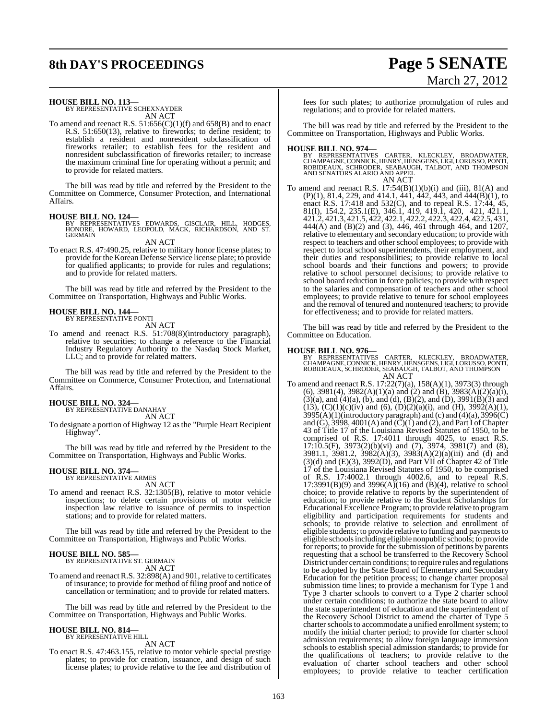# **8th DAY'S PROCEEDINGS Page 5 SENATE**

# March 27, 2012

**HOUSE BILL NO. 113—** BY REPRESENTATIVE SCHEXNAYDER

AN ACT

To amend and reenact R.S.  $51:656(C)(1)(f)$  and  $658(B)$  and to enact R.S. 51:650(13), relative to fireworks; to define resident; to establish a resident and nonresident subclassification of fireworks retailer; to establish fees for the resident and nonresident subclassification of fireworks retailer; to increase the maximum criminal fine for operating without a permit; and to provide for related matters.

The bill was read by title and referred by the President to the Committee on Commerce, Consumer Protection, and International Affairs.

#### **HOUSE BILL NO. 124—**

BY REPRESENTATIVES EDWARDS, GISCLAIR, HILL, HODGES, HONORE, HOWARD, LEOPOLD, MACK, RICHARDSON, AND ST. **GERMAIN** 

AN ACT

To enact R.S. 47:490.25, relative to military honor license plates; to provide for the Korean Defense Service license plate; to provide for qualified applicants; to provide for rules and regulations; and to provide for related matters.

The bill was read by title and referred by the President to the Committee on Transportation, Highways and Public Works.

# **HOUSE BILL NO. 144—** BY REPRESENTATIVE PONTI

AN ACT

To amend and reenact R.S. 51:708(8)(introductory paragraph), relative to securities; to change a reference to the Financial Industry Regulatory Authority to the Nasdaq Stock Market, LLC; and to provide for related matters.

The bill was read by title and referred by the President to the Committee on Commerce, Consumer Protection, and International Affairs.

#### **HOUSE BILL NO. 324—**

BY REPRESENTATIVE DANAHAY AN ACT

To designate a portion of Highway 12 as the "Purple Heart Recipient Highway".

The bill was read by title and referred by the President to the Committee on Transportation, Highways and Public Works.

# **HOUSE BILL NO. 374—** BY REPRESENTATIVE ARMES

AN ACT

To amend and reenact R.S. 32:1305(B), relative to motor vehicle inspections; to delete certain provisions of motor vehicle inspection law relative to issuance of permits to inspection stations; and to provide for related matters.

The bill was read by title and referred by the President to the Committee on Transportation, Highways and Public Works.

## **HOUSE BILL NO. 585—**

BY REPRESENTATIVE ST. GERMAIN AN ACT

To amend and reenactR.S. 32:898(A) and 901, relative to certificates of insurance; to provide for method of filing proof and notice of cancellation or termination; and to provide for related matters.

The bill was read by title and referred by the President to the Committee on Transportation, Highways and Public Works.

#### **HOUSE BILL NO. 814—** BY REPRESENTATIVE HILL

AN ACT

To enact R.S. 47:463.155, relative to motor vehicle special prestige plates; to provide for creation, issuance, and design of such license plates; to provide relative to the fee and distribution of fees for such plates; to authorize promulgation of rules and regulations; and to provide for related matters.

The bill was read by title and referred by the President to the Committee on Transportation, Highways and Public Works.

**HOUSE BILL NO. 974—**<br>BY REPRESENTATIVES CARTER, KLECKLEY, BROADWATER,<br>CHAMPAGNE, CONNICK, HENRY, HENSGENS, LIGI, LORUSSO, PONTI,<br>ROBIDEAUX, SCHRODER, SEABAUGH, TALBOT, AND THOMPSON<br>AND SENATORS ALARIO AND APPEL AN ACT

To amend and reenact R.S.  $17:54(B)(1)(b)(i)$  and (iii),  $81(A)$  and (P)(1), 81.4, 229, and 414.1, 441, 442, 443, and 444(B)(1), to enact R.S. 17:418 and 532(C), and to repeal R.S. 17:44, 45, 81(I), 154.2, 235.1(E), 346.1, 419, 419.1, 420, 421, 421.1, 421.2, 421.3, 421.5, 422, 422.1, 422.2, 422.3, 422.4, 422.5, 431, 444(A) and (B)(2) and (3), 446, 461 through 464, and 1207, relative to elementary and secondary education; to provide with respect to teachers and other school employees; to provide with respect to local school superintendents, their employment, and their duties and responsibilities; to provide relative to local school boards and their functions and powers; to provide relative to school personnel decisions; to provide relative to school board reduction in force policies; to provide with respect to the salaries and compensation of teachers and other school employees; to provide relative to tenure for school employees and the removal of tenured and nontenured teachers; to provide for effectiveness; and to provide for related matters.

The bill was read by title and referred by the President to the Committee on Education.

**HOUSE BILL NO. 976—**<br>BY REPRESENTATIVES CARTER, KLECKLEY, BROADWATER,<br>CHAMPAGNE, CONNICK, HENRY, HENSGENS, LIGI, LORUSSO, PONTI,<br>ROBIDEAUX, SCHRODER, SEABAUGH, TALBOT, AND THOMPSON AN ACT

To amend and reenact R.S. 17:22(7)(a), 158(A)(1), 3973(3) through (6), 3981(4), 3982(A)(1)(a) and (2) and (B), 3983(A)(2)(a)(i), (3)(a), and (4)(a), (b), and (d), (B)(2), and (D), 3991(B)(3) and (13), (C)(1)(c)(iv) and (6), (D)(2)(a)(i), and (H), 3992(A)(1), 3995(A)(1)(introductory paragraph) and (c) and (4)(a), 3996(C) and (G), 3998, 4001(A) and (C)(1) and (2), and Part I of Chapter 43 of Title 17 of the Louisiana Revised Statutes of 1950, to be comprised of R.S. 17:4011 through 4025, to enact R.S. 17:10.5(F), 3973(2)(b)(vi) and (7), 3974, 3981(7) and (8), 3981.1, 3981.2, 3982(A)(3), 3983(A)(2)(a)(iii) and (d) and  $(3)(d)$  and  $(E)(3)$ ,  $3992(D)$ , and Part VII of Chapter 42 of Title 17 of the Louisiana Revised Statutes of 1950, to be comprised of R.S. 17:4002.1 through 4002.6, and to repeal R.S.  $17:3991(B)(9)$  and  $3996(A)(16)$  and  $(B)(4)$ , relative to school choice; to provide relative to reports by the superintendent of education; to provide relative to the Student Scholarships for Educational Excellence Program; to provide relative to program eligibility and participation requirements for students and schools; to provide relative to selection and enrollment of eligible students; to provide relative to funding and payments to eligible schoolsincluding eligible nonpublic schools; to provide for reports; to provide for the submission of petitions by parents requesting that a school be transferred to the Recovery School District under certain conditions; to require rules and regulations to be adopted by the State Board of Elementary and Secondary Education for the petition process; to change charter proposal submission time lines; to provide a mechanism for Type 1 and Type 3 charter schools to convert to a Type 2 charter school under certain conditions; to authorize the state board to allow the state superintendent of education and the superintendent of the Recovery School District to amend the charter of Type 5 charter schools to accommodate a unified enrollment system; to modify the initial charter period; to provide for charter school admission requirements; to allow foreign language immersion schools to establish special admission standards; to provide for the qualifications of teachers; to provide relative to the evaluation of charter school teachers and other school employees; to provide relative to teacher certification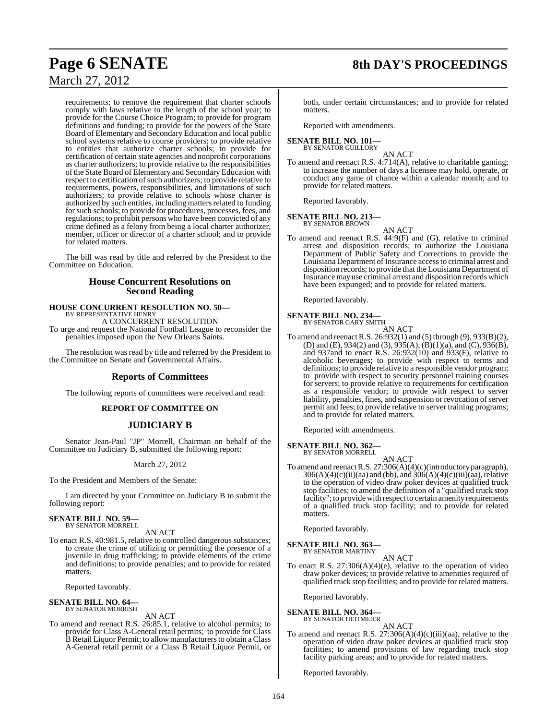# **Page 6 SENATE 8th DAY'S PROCEEDINGS**

## March 27, 2012

requirements; to remove the requirement that charter schools comply with laws relative to the length of the school year; to provide for the Course Choice Program; to provide for program definitions and funding; to provide for the powers of the State Board of Elementary and Secondary Education and local public school systems relative to course providers; to provide relative to entities that authorize charter schools; to provide for certification of certain state agencies and nonprofit corporations as charter authorizers; to provide relative to the responsibilities of the State Board of Elementary and Secondary Education with respect to certification of such authorizers; to provide relative to requirements, powers, responsibilities, and limitations of such authorizers; to provide relative to schools whose charter is authorized by such entities, including matters related to funding for such schools; to provide for procedures, processes, fees, and regulations; to prohibit persons who have been convicted of any crime defined as a felony from being a local charter authorizer, member, officer or director of a charter school; and to provide for related matters.

The bill was read by title and referred by the President to the Committee on Education.

### **House Concurrent Resolutions on Second Reading**

# **HOUSE CONCURRENT RESOLUTION NO. 50—** BY REPRESENTATIVE HENRY

A CONCURRENT RESOLUTION

To urge and request the National Football League to reconsider the penalties imposed upon the New Orleans Saints.

The resolution was read by title and referred by the President to the Committee on Senate and Governmental Affairs.

#### **Reports of Committees**

The following reports of committees were received and read:

#### **REPORT OF COMMITTEE ON**

#### **JUDICIARY B**

Senator Jean-Paul "JP" Morrell, Chairman on behalf of the Committee on Judiciary B, submitted the following report:

March 27, 2012

To the President and Members of the Senate:

I am directed by your Committee on Judiciary B to submit the following report:

#### **SENATE BILL NO. 59** BY SENATOR MORRELL

AN ACT

To enact R.S. 40:981.5, relative to controlled dangerous substances; to create the crime of utilizing or permitting the presence of a juvenile in drug trafficking; to provide elements of the crime and definitions; to provide penalties; and to provide for related matters.

Reported favorably.

#### **SENATE BILL NO. 64—** BY SENATOR MORRISH

AN ACT

To amend and reenact R.S. 26:85.1, relative to alcohol permits; to provide for Class A-General retail permits; to provide for Class B Retail Liquor Permit; to allow manufacturers to obtain a Class A-General retail permit or a Class B Retail Liquor Permit, or

both, under certain circumstances; and to provide for related matters.

Reported with amendments.

#### **SENATE BILL NO. 101—** BY SENATOR GUILLORY

AN ACT To amend and reenact R.S. 4:714(A), relative to charitable gaming; to increase the number of days a licensee may hold, operate, or conduct any game of chance within a calendar month; and to provide for related matters.

Reported favorably.

#### **SENATE BILL NO. 213—** BY SENATOR BROWN

AN ACT

To amend and reenact R.S. 44:9(F) and (G), relative to criminal arrest and disposition records; to authorize the Louisiana Department of Public Safety and Corrections to provide the Louisiana Department of Insurance access to criminal arrest and disposition records; to provide that the Louisiana Department of Insurance may use criminal arrest and disposition records which have been expunged; and to provide for related matters.

Reported favorably.

#### **SENATE BILL NO. 234—**

BY SENATOR GARY SMITH

AN ACT To amend and reenact R.S. 26:932(1) and (5) through (9), 933(B)(2), (D) and (E), 934(2) and (3), 935(A),  $(B)(1)(a)$ , and  $(C)$ , 936(B), and 937and to enact R.S. 26:932(10) and 933(F), relative to alcoholic beverages; to provide with respect to terms and definitions; to provide relative to a responsible vendor program; to provide with respect to security personnel training courses for servers; to provide relative to requirements for certification as a responsible vendor; to provide with respect to server liability, penalties, fines, and suspension or revocation of server permit and fees; to provide relative to server training programs; and to provide for related matters.

Reported with amendments.

#### **SENATE BILL NO. 362—** BY SENATOR MORRELL

AN ACT

To amend and reenactR.S. 27:306(A)(4)(c)(introductory paragraph),  $306(A)(4)(c)(ii)(aa)$  and (bb), and  $306(A)(4)(c)(iii)(aa)$ , relative to the operation of video draw poker devices at qualified truck stop facilities; to amend the definition of a "qualified truck stop facility"; to provide with respect to certain amenity requirements of a qualified truck stop facility; and to provide for related matters.

Reported favorably.

#### **SENATE BILL NO. 363** BY SENATOR MARTINY

AN ACT

To enact R.S. 27:306(A)(4)(e), relative to the operation of video draw poker devices; to provide relative to amenities required of qualified truck stop facilities; and to provide for related matters.

Reported favorably.

#### **SENATE BILL NO. 364—** BY SENATOR HEITMEIER

AN ACT

To amend and reenact R.S. 27:306(A)(4)(c)(iii)(aa), relative to the operation of video draw poker devices at qualified truck stop facilities; to amend provisions of law regarding truck stop facility parking areas; and to provide for related matters.

Reported favorably.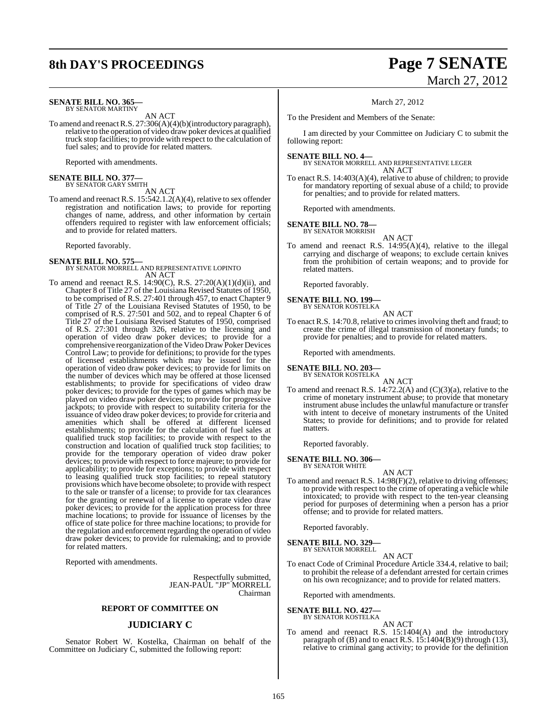# **8th DAY'S PROCEEDINGS Page 7 SENATE**

#### **SENATE BILL NO. 365—** BY SENATOR MARTINY

AN ACT

To amend and reenactR.S. 27:306(A)(4)(b)(introductory paragraph), relative to the operation of video draw poker devices at qualified truck stop facilities; to provide with respect to the calculation of fuel sales; and to provide for related matters.

Reported with amendments.

# **SENATE BILL NO. 377—** BY SENATOR GARY SMITH

AN ACT

To amend and reenact R.S. 15:542.1.2(A)(4), relative to sex offender registration and notification laws; to provide for reporting changes of name, address, and other information by certain offenders required to register with law enforcement officials; and to provide for related matters.

#### Reported favorably.

#### **SENATE BILL NO. 575**

BY SENATOR MORRELL AND REPRESENTATIVE LOPINTO AN ACT

To amend and reenact R.S. 14:90(C), R.S. 27:20(A)(1)(d)(ii), and Chapter 8 of Title 27 of the Louisiana Revised Statutes of 1950, to be comprised of R.S. 27:401 through 457, to enact Chapter 9 of Title 27 of the Louisiana Revised Statutes of 1950, to be comprised of R.S. 27:501 and 502, and to repeal Chapter 6 of Title 27 of the Louisiana Revised Statutes of 1950, comprised of R.S. 27:301 through 326, relative to the licensing and operation of video draw poker devices; to provide for a comprehensive reorganization of the Video Draw Poker Devices Control Law; to provide for definitions; to provide for the types of licensed establishments which may be issued for the operation of video draw poker devices; to provide for limits on the number of devices which may be offered at those licensed establishments; to provide for specifications of video draw poker devices; to provide for the types of games which may be played on video draw poker devices; to provide for progressive jackpots; to provide with respect to suitability criteria for the issuance of video draw poker devices; to provide for criteria and amenities which shall be offered at different licensed establishments; to provide for the calculation of fuel sales at qualified truck stop facilities; to provide with respect to the construction and location of qualified truck stop facilities; to provide for the temporary operation of video draw poker devices; to provide with respect to force majeure; to provide for applicability; to provide for exceptions; to provide with respect to leasing qualified truck stop facilities; to repeal statutory provisions which have become obsolete; to provide with respect to the sale or transfer of a license; to provide for tax clearances for the granting or renewal of a license to operate video draw poker devices; to provide for the application process for three machine locations; to provide for issuance of licenses by the office of state police for three machine locations; to provide for the regulation and enforcement regarding the operation of video draw poker devices; to provide for rulemaking; and to provide for related matters.

Reported with amendments.

Respectfully submitted, JEAN-PAUL "JP" MORRELL Chairman

#### **REPORT OF COMMITTEE ON**

### **JUDICIARY C**

Senator Robert W. Kostelka, Chairman on behalf of the Committee on Judiciary C, submitted the following report:

# March 27, 2012

#### March 27, 2012

To the President and Members of the Senate:

I am directed by your Committee on Judiciary C to submit the following report:

#### **SENATE BILL NO. 4—**

BY SENATOR MORRELL AND REPRESENTATIVE LEGER AN ACT

To enact R.S. 14:403(A)(4), relative to abuse of children; to provide for mandatory reporting of sexual abuse of a child; to provide for penalties; and to provide for related matters.

Reported with amendments.

# **SENATE BILL NO. 78—** BY SENATOR MORRISH

AN ACT

To amend and reenact R.S. 14:95(A)(4), relative to the illegal carrying and discharge of weapons; to exclude certain knives from the prohibition of certain weapons; and to provide for related matters.

Reported favorably.

#### **SENATE BILL NO. 199—** BY SENATOR KOSTELKA

AN ACT

To enact R.S. 14:70.8, relative to crimesinvolving theft and fraud; to create the crime of illegal transmission of monetary funds; to provide for penalties; and to provide for related matters.

Reported with amendments.

#### **SENATE BILL NO. 203—** BY SENATOR KOSTELKA

AN ACT

To amend and reenact R.S. 14:72.2(A) and (C)(3)(a), relative to the crime of monetary instrument abuse; to provide that monetary instrument abuse includes the unlawful manufacture or transfer with intent to deceive of monetary instruments of the United States; to provide for definitions; and to provide for related matters.

Reported favorably.

# **SENATE BILL NO. 306—** BY SENATOR WHITE

- 
- AN ACT To amend and reenact R.S. 14:98(F)(2), relative to driving offenses; to provide with respect to the crime of operating a vehicle while intoxicated; to provide with respect to the ten-year cleansing period for purposes of determining when a person has a prior offense; and to provide for related matters.

Reported favorably.

#### **SENATE BILL NO. 329—** BY SENATOR MORRELL

AN ACT

To enact Code of Criminal Procedure Article 334.4, relative to bail; to prohibit the release of a defendant arrested for certain crimes on his own recognizance; and to provide for related matters.

Reported with amendments.

# **SENATE BILL NO. 427—** BY SENATOR KOSTELKA

AN ACT

To amend and reenact R.S. 15:1404(A) and the introductory paragraph of (B) and to enact R.S.  $1\overline{5}$ :  $1404(B)(9)$  through (13), relative to criminal gang activity; to provide for the definition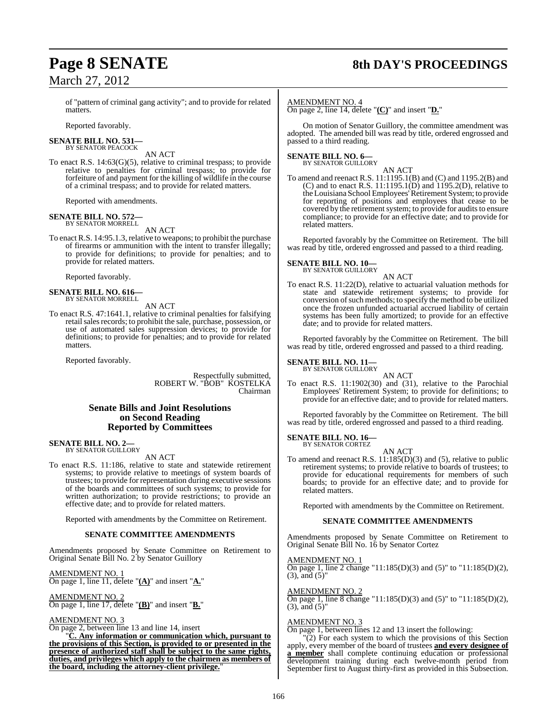# **Page 8 SENATE 8th DAY'S PROCEEDINGS**

of "pattern of criminal gang activity"; and to provide for related matters.

Reported favorably.

#### **SENATE BILL NO. 531—** BY SENATOR PEACOCK

AN ACT

To enact R.S. 14:63(G)(5), relative to criminal trespass; to provide relative to penalties for criminal trespass; to provide for forfeiture of and payment for the killing of wildlife in the course of a criminal trespass; and to provide for related matters.

Reported with amendments.

#### **SENATE BILL NO. 572—** BY SENATOR MORRELL

AN ACT

To enact R.S. 14:95.1.3, relative to weapons; to prohibit the purchase of firearms or ammunition with the intent to transfer illegally; to provide for definitions; to provide for penalties; and to provide for related matters.

Reported favorably.

#### **SENATE BILL NO. 616—** BY SENATOR MORRELL

#### AN ACT

To enact R.S. 47:1641.1, relative to criminal penalties for falsifying retail sales records; to prohibit the sale, purchase, possession, or use of automated sales suppression devices; to provide for definitions; to provide for penalties; and to provide for related matters.

Reported favorably.

Respectfully submitted, ROBERT W. "BOB" KOSTELKA Chairman

#### **Senate Bills and Joint Resolutions on Second Reading Reported by Committees**

#### **SENATE BILL NO. 2—** BY SENATOR GUILLORY

AN ACT

To enact R.S. 11:186, relative to state and statewide retirement systems; to provide relative to meetings of system boards of trustees; to provide for representation during executive sessions of the boards and committees of such systems; to provide for written authorization; to provide restrictions; to provide an effective date; and to provide for related matters.

Reported with amendments by the Committee on Retirement.

#### **SENATE COMMITTEE AMENDMENTS**

Amendments proposed by Senate Committee on Retirement to Original Senate Bill No. 2 by Senator Guillory

AMENDMENT NO. 1 On page 1, line 11, delete "**(A)**" and insert "**A.**"

#### AMENDMENT NO. 2 On page 1, line 17, delete "**(B)**" and insert "**B.**"

#### AMENDMENT NO. 3

On page 2, between line 13 and line 14, insert

"**C. Any information or communication which, pursuant to the provisions of this Section, is provided to or presented in the presence of authorized staff shall be subject to the same rights, duties, and privileges which apply to the chairmen as members of the board, including the attorney-client privilege.**"

#### AMENDMENT NO. 4

On page 2, line 14, delete "**(C)**" and insert "**D.**"

On motion of Senator Guillory, the committee amendment was adopted. The amended bill was read by title, ordered engrossed and passed to a third reading.

#### **SENATE BILL NO. 6—** BY SENATOR GUILLORY

AN ACT

To amend and reenact R.S. 11:1195.1(B) and (C) and 1195.2(B) and  $(C)$  and to enact R.S. 11:1195.1 $(D)$  and 1195.2 $(D)$ , relative to theLouisiana School Employees'Retirement System; to provide for reporting of positions and employees that cease to be covered by the retirement system; to provide for audits to ensure compliance; to provide for an effective date; and to provide for related matters.

Reported favorably by the Committee on Retirement. The bill was read by title, ordered engrossed and passed to a third reading.

# **SENATE BILL NO. 10—**<br>BY SENATOR GUILLORY

AN ACT

To enact R.S. 11:22(D), relative to actuarial valuation methods for state and statewide retirement systems; to provide for conversion of such methods; to specify the method to be utilized once the frozen unfunded actuarial accrued liability of certain systems has been fully amortized; to provide for an effective date; and to provide for related matters.

Reported favorably by the Committee on Retirement. The bill was read by title, ordered engrossed and passed to a third reading.

#### **SENATE BILL NO. 11—** BY SENATOR GUILLORY

AN ACT

To enact R.S. 11:1902(30) and (31), relative to the Parochial Employees' Retirement System; to provide for definitions; to provide for an effective date; and to provide for related matters.

Reported favorably by the Committee on Retirement. The bill was read by title, ordered engrossed and passed to a third reading.

# **SENATE BILL NO. 16—** BY SENATOR CORTEZ

AN ACT

To amend and reenact R.S. 11:185(D)(3) and (5), relative to public retirement systems; to provide relative to boards of trustees; to provide for educational requirements for members of such boards; to provide for an effective date; and to provide for related matters.

Reported with amendments by the Committee on Retirement.

#### **SENATE COMMITTEE AMENDMENTS**

Amendments proposed by Senate Committee on Retirement to Original Senate Bill No. 16 by Senator Cortez

#### AMENDMENT NO. 1

On page 1, line 2 change "11:185(D)(3) and (5)" to "11:185(D)(2),  $(3)$ , and  $(5)$ "

#### AMENDMENT NO. 2

On page 1, line 8 change "11:185(D)(3) and (5)" to "11:185(D)(2),  $(3)$ , and  $(5)$ "

#### AMENDMENT NO. 3

On page 1, between lines 12 and 13 insert the following:

 $\overline{2}$ ) For each system to which the provisions of this Section apply, every member of the board of trustees **and every designee of a member** shall complete continuing education or professional development training during each twelve-month period from September first to August thirty-first as provided in this Subsection.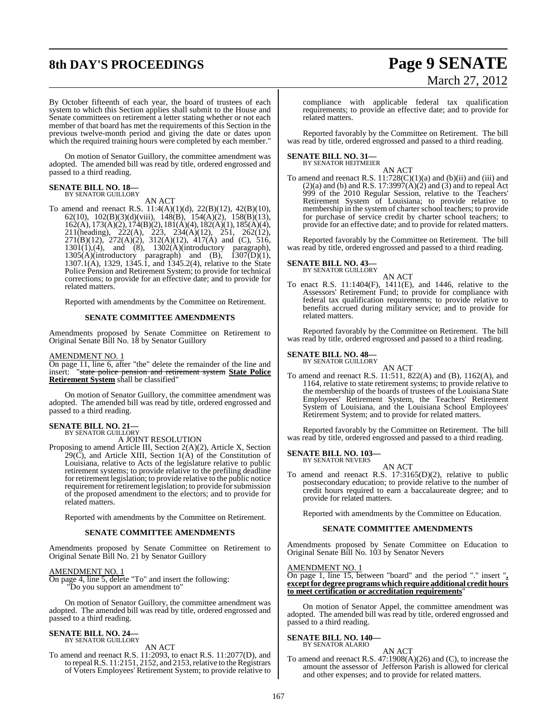# **8th DAY'S PROCEEDINGS Page 9 SENATE**

# March 27, 2012

By October fifteenth of each year, the board of trustees of each system to which this Section applies shall submit to the House and Senate committees on retirement a letter stating whether or not each member of that board has met the requirements of this Section in the previous twelve-month period and giving the date or dates upon which the required training hours were completed by each member."

On motion of Senator Guillory, the committee amendment was adopted. The amended bill was read by title, ordered engrossed and passed to a third reading.

# **SENATE BILL NO. 18—** BY SENATOR GUILLORY

AN ACT

To amend and reenact R.S. 11:4(A)(1)(d), 22(B)(12), 42(B)(10), 62(10), 102(B)(3)(d)(viii), 148(B), 154(A)(2), 158(B)(13), 162(A), 173(A)(2), 174(B)(2), 181(A)(4), 182(A)(1), 185(A)(4), 211(heading), 222(A), 223, 234(A)(12), 251, 262(12), 271(B)(12), 272(A)(2), 312(A)(12), 417(A) and (C), 516,  $1301(1)$ , (4), and (8),  $1302(A)$ (introductory paragraph),  $1305(A)(introductory)$  paragraph) and (B),  $1307(D)(1)$ , 1307.1(A), 1329, 1345.1, and 1345.2(4), relative to the State Police Pension and Retirement System; to provide for technical corrections; to provide for an effective date; and to provide for related matters.

Reported with amendments by the Committee on Retirement.

#### **SENATE COMMITTEE AMENDMENTS**

Amendments proposed by Senate Committee on Retirement to Original Senate Bill No. 18 by Senator Guillory

#### AMENDMENT NO. 1

On page 11, line 6, after "the" delete the remainder of the line and insert: "state police pension and retirement system **State Police Retirement System** shall be classified"

On motion of Senator Guillory, the committee amendment was adopted. The amended bill was read by title, ordered engrossed and passed to a third reading.

# **SENATE BILL NO. 21—** BY SENATOR GUILLORY

A JOINT RESOLUTION

Proposing to amend Article III, Section 2(A)(2), Article X, Section  $29(\overline{C})$ , and Article XIII, Section 1(A) of the Constitution of Louisiana, relative to Acts of the legislature relative to public retirement systems; to provide relative to the prefiling deadline for retirement legislation; to provide relative to the public notice requirement for retirement legislation; to provide for submission of the proposed amendment to the electors; and to provide for related matters.

Reported with amendments by the Committee on Retirement.

#### **SENATE COMMITTEE AMENDMENTS**

Amendments proposed by Senate Committee on Retirement to Original Senate Bill No. 21 by Senator Guillory

#### AMENDMENT NO. 1

On page 4, line 5, delete "To" and insert the following: "Do you support an amendment to"

On motion of Senator Guillory, the committee amendment was adopted. The amended bill was read by title, ordered engrossed and passed to a third reading.

#### **SENATE BILL NO. 24—** BY SENATOR GUILLORY

AN ACT

To amend and reenact R.S. 11:2093, to enact R.S. 11:2077(D), and to repeal R.S. 11:2151, 2152, and 2153, relative to the Registrars of Voters Employees' Retirement System; to provide relative to compliance with applicable federal tax qualification requirements; to provide an effective date; and to provide for related matters.

Reported favorably by the Committee on Retirement. The bill was read by title, ordered engrossed and passed to a third reading.

# **SENATE BILL NO. 31—** BY SENATOR HEITMEIER

AN ACT

To amend and reenact R.S.  $11:728(C)(1)(a)$  and  $(b)(ii)$  and  $(iii)$  and  $(2)(a)$  and  $(b)$  and R.S. 17:3997 $(A)(2)$  and  $(B)$  and to repeal Act 999 of the 2010 Regular Session, relative to the Teachers' Retirement System of Louisiana; to provide relative to membership in the system of charter school teachers; to provide for purchase of service credit by charter school teachers; to provide for an effective date; and to provide for related matters.

Reported favorably by the Committee on Retirement. The bill was read by title, ordered engrossed and passed to a third reading.

# **SENATE BILL NO. 43—**<br>BY SENATOR GUILLORY

AN ACT

To enact R.S. 11:1404(F), 1411(E), and 1446, relative to the Assessors' Retirement Fund; to provide for compliance with federal tax qualification requirements; to provide relative to benefits accrued during military service; and to provide for related matters.

Reported favorably by the Committee on Retirement. The bill was read by title, ordered engrossed and passed to a third reading.

#### **SENATE BILL NO. 48—** BY SENATOR GUILLORY

AN ACT To amend and reenact R.S. 11:511, 822(A) and (B), 1162(A), and 1164, relative to state retirement systems; to provide relative to the membership of the boards of trustees of the Louisiana State Employees' Retirement System, the Teachers' Retirement System of Louisiana, and the Louisiana School Employees' Retirement System; and to provide for related matters.

Reported favorably by the Committee on Retirement. The bill was read by title, ordered engrossed and passed to a third reading.

**SENATE BILL NO. 103—** BY SENATOR NEVERS

## AN ACT

To amend and reenact R.S. 17:3165(D)(2), relative to public postsecondary education; to provide relative to the number of credit hours required to earn a baccalaureate degree; and to provide for related matters.

Reported with amendments by the Committee on Education.

#### **SENATE COMMITTEE AMENDMENTS**

Amendments proposed by Senate Committee on Education to Original Senate Bill No. 103 by Senator Nevers

#### AMENDMENT NO. 1

On page 1, line 15, between "board" and the period "." insert "**, exceptfor degree programswhichrequire additional credit hours to meet certification or accreditation requirements**"

On motion of Senator Appel, the committee amendment was adopted. The amended bill was read by title, ordered engrossed and passed to a third reading.

#### **SENATE BILL NO. 140—** BY SENATOR ALARIO

AN ACT To amend and reenact R.S. 47:1908(A)(26) and (C), to increase the amount the assessor of Jefferson Parish is allowed for clerical and other expenses; and to provide for related matters.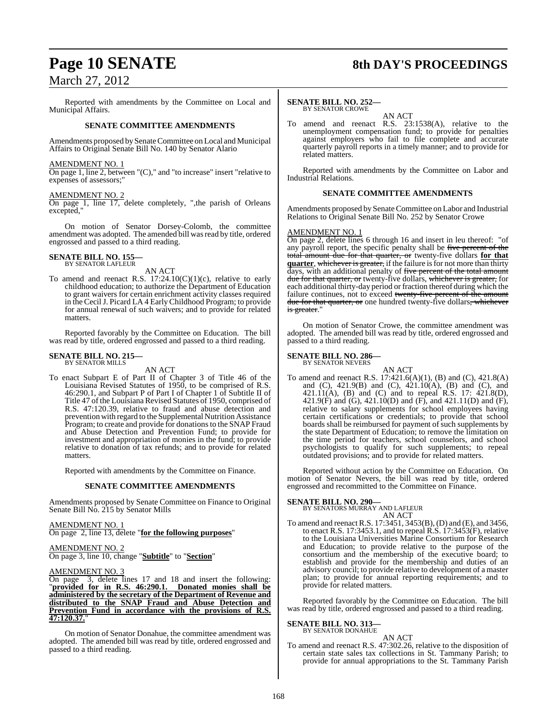Reported with amendments by the Committee on Local and Municipal Affairs.

#### **SENATE COMMITTEE AMENDMENTS**

Amendments proposed by Senate Committee on Local and Municipal Affairs to Original Senate Bill No. 140 by Senator Alario

#### AMENDMENT NO. 1

On page 1, line 2, between "(C)," and "to increase" insert "relative to expenses of assessors;"

#### AMENDMENT NO. 2

On page 1, line 17, delete completely, ",the parish of Orleans excepted,"

On motion of Senator Dorsey-Colomb, the committee amendment was adopted. The amended bill was read by title, ordered engrossed and passed to a third reading.

# **SENATE BILL NO. 155—** BY SENATOR LAFLEUR

AN ACT

To amend and reenact R.S.  $17:24.10(C)(1)(c)$ , relative to early childhood education; to authorize the Department of Education to grant waivers for certain enrichment activity classes required in the CecilJ. Picard LA 4 EarlyChildhood Program; to provide for annual renewal of such waivers; and to provide for related matters.

Reported favorably by the Committee on Education. The bill was read by title, ordered engrossed and passed to a third reading.

# **SENATE BILL NO. 215—** BY SENATOR MILLS

AN ACT

To enact Subpart E of Part II of Chapter 3 of Title 46 of the Louisiana Revised Statutes of 1950, to be comprised of R.S. 46:290.1, and Subpart P of Part I of Chapter 1 of Subtitle II of Title 47 of the Louisiana Revised Statutes of 1950, comprised of R.S. 47:120.39, relative to fraud and abuse detection and prevention with regard to the Supplemental Nutrition Assistance Program; to create and provide for donations to the SNAP Fraud and Abuse Detection and Prevention Fund; to provide for investment and appropriation of monies in the fund; to provide relative to donation of tax refunds; and to provide for related matters.

Reported with amendments by the Committee on Finance.

#### **SENATE COMMITTEE AMENDMENTS**

Amendments proposed by Senate Committee on Finance to Original Senate Bill No. 215 by Senator Mills

AMENDMENT NO. 1 On page 2, line 13, delete "**for the following purposes**"

AMENDMENT NO. 2 On page 3, line 10, change "**Subtitle**" to "**Section**"

AMENDMENT NO. 3<br>On page 3, delete 1 On page 3, delete lines 17 and 18 and insert the following: "**provided for in R.S. 46:290.1. Donated monies shall be administered by the secretary of the Department of Revenue and distributed to the SNAP Fraud and Abuse Detection and Prevention Fund in accordance with the provisions of R.S. 47:120.37.**"

On motion of Senator Donahue, the committee amendment was adopted. The amended bill was read by title, ordered engrossed and passed to a third reading.

# **Page 10 SENATE** 8th DAY'S PROCEEDINGS

#### **SENATE BILL NO. 252—** BY SENATOR CROWE

AN ACT

To amend and reenact R.S. 23:1538(A), relative to the unemployment compensation fund; to provide for penalties against employers who fail to file complete and accurate quarterly payroll reports in a timely manner; and to provide for related matters.

Reported with amendments by the Committee on Labor and Industrial Relations.

#### **SENATE COMMITTEE AMENDMENTS**

Amendments proposed by Senate Committee on Labor and Industrial Relations to Original Senate Bill No. 252 by Senator Crowe

#### AMENDMENT NO. 1

On page 2, delete lines 6 through 16 and insert in leu thereof: "of any payroll report, the specific penalty shall be five percent of the total amount due for that quarter, or twenty-five dollars **for that quarter**, whichever is greater, if the failure is for not more than thirty days, with an additional penalty of five percent of the total amount due for that quarter, or twenty-five dollars, whichever is greater, for each additional thirty-day period or fraction thereof during which the failure continues, not to exceed twenty-five percent of the amount <del>due for that quarter, or</del> one hundred twenty-five dollars<del>, whichever</del> is greater."

On motion of Senator Crowe, the committee amendment was adopted. The amended bill was read by title, ordered engrossed and passed to a third reading.

# **SENATE BILL NO. 286—** BY SENATOR NEVERS

AN ACT To amend and reenact R.S. 17:421.6(A)(1), (B) and (C), 421.8(A) and (C), 421.9(B) and (C), 421.10(A), (B) and (C), and 421.11(A), (B) and (C) and to repeal R.S. 17: 421.8(D), 421.9(F) and (G), 421.10(D) and (F), and 421.11(D) and (F), relative to salary supplements for school employees having certain certifications or credentials; to provide that school boards shall be reimbursed for payment of such supplements by the state Department of Education; to remove the limitation on the time period for teachers, school counselors, and school psychologists to qualify for such supplements; to repeal outdated provisions; and to provide for related matters.

Reported without action by the Committee on Education. On motion of Senator Nevers, the bill was read by title, ordered engrossed and recommitted to the Committee on Finance.

#### **SENATE BILL NO. 290—**

BY SENATORS MURRAY AND LAFLEUR AN ACT

To amend and reenactR.S. 17:3451, 3453(B), (D) and (E), and 3456, to enact R.S. 17:3453.1, and to repeal R.S. 17:3453(F), relative to the Louisiana Universities Marine Consortium for Research and Education; to provide relative to the purpose of the consortium and the membership of the executive board; to establish and provide for the membership and duties of an advisory council; to provide relative to development of a master plan; to provide for annual reporting requirements; and to provide for related matters.

Reported favorably by the Committee on Education. The bill was read by title, ordered engrossed and passed to a third reading.

#### **SENATE BILL NO. 313—** BY SENATOR DONAHUE

AN ACT

To amend and reenact R.S. 47:302.26, relative to the disposition of certain state sales tax collections in St. Tammany Parish; to provide for annual appropriations to the St. Tammany Parish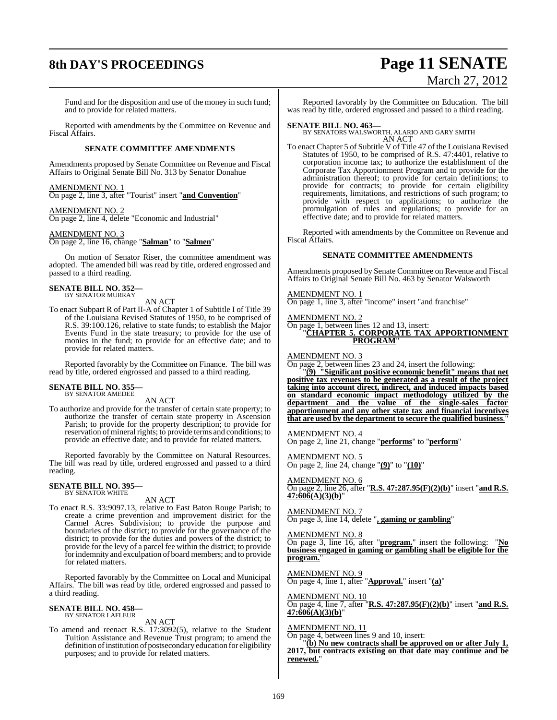# **8th DAY'S PROCEEDINGS Page 11 SENATE**

# March 27, 2012

Fund and for the disposition and use of the money in such fund; and to provide for related matters.

Reported with amendments by the Committee on Revenue and Fiscal Affairs.

#### **SENATE COMMITTEE AMENDMENTS**

Amendments proposed by Senate Committee on Revenue and Fiscal Affairs to Original Senate Bill No. 313 by Senator Donahue

#### AMENDMENT NO. 1

On page 2, line 3, after "Tourist" insert "**and Convention**"

AMENDMENT NO. 2 On page 2, line 4, delete "Economic and Industrial"

#### AMENDMENT NO. 3

On page 2, line 16, change "**Salman**" to "**Salmen**"

On motion of Senator Riser, the committee amendment was adopted. The amended bill was read by title, ordered engrossed and passed to a third reading.

#### **SENATE BILL NO. 352—** BY SENATOR MURRAY

AN ACT

To enact Subpart R of Part II-A of Chapter 1 of Subtitle I of Title 39 of the Louisiana Revised Statutes of 1950, to be comprised of R.S. 39:100.126, relative to state funds; to establish the Major Events Fund in the state treasury; to provide for the use of monies in the fund; to provide for an effective date; and to provide for related matters.

Reported favorably by the Committee on Finance. The bill was read by title, ordered engrossed and passed to a third reading.

#### **SENATE BILL NO. 355—** BY SENATOR AMEDEE

AN ACT

To authorize and provide for the transfer of certain state property; to authorize the transfer of certain state property in Ascension Parish; to provide for the property description; to provide for reservation of mineral rights; to provide terms and conditions; to provide an effective date; and to provide for related matters.

Reported favorably by the Committee on Natural Resources. The bill was read by title, ordered engrossed and passed to a third reading.

#### **SENATE BILL NO. 395—** BY SENATOR WHITE

AN ACT

To enact R.S. 33:9097.13, relative to East Baton Rouge Parish; to create a crime prevention and improvement district for the Carmel Acres Subdivision; to provide the purpose and boundaries of the district; to provide for the governance of the district; to provide for the duties and powers of the district; to provide for the levy of a parcel fee within the district; to provide for indemnity and exculpation of board members; and to provide for related matters.

Reported favorably by the Committee on Local and Municipal Affairs. The bill was read by title, ordered engrossed and passed to a third reading.

# **SENATE BILL NO. 458—** BY SENATOR LAFLEUR

AN ACT

To amend and reenact R.S. 17:3092(5), relative to the Student Tuition Assistance and Revenue Trust program; to amend the definition of institution of postsecondary education for eligibility purposes; and to provide for related matters.

Reported favorably by the Committee on Education. The bill was read by title, ordered engrossed and passed to a third reading.

**SENATE BILL NO. 463—** BY SENATORS WALSWORTH, ALARIO AND GARY SMITH AN ACT

To enact Chapter 5 of Subtitle V of Title 47 of the Louisiana Revised Statutes of 1950, to be comprised of R.S. 47:4401, relative to corporation income tax; to authorize the establishment of the Corporate Tax Apportionment Program and to provide for the administration thereof; to provide for certain definitions; to provide for contracts; to provide for certain eligibility requirements, limitations, and restrictions of such program; to provide with respect to applications; to authorize the promulgation of rules and regulations; to provide for an effective date; and to provide for related matters.

Reported with amendments by the Committee on Revenue and Fiscal Affairs.

#### **SENATE COMMITTEE AMENDMENTS**

Amendments proposed by Senate Committee on Revenue and Fiscal Affairs to Original Senate Bill No. 463 by Senator Walsworth

#### AMENDMENT NO. 1

On page 1, line 3, after "income" insert "and franchise"

AMENDMENT NO. 2

#### On page 1, between lines 12 and 13, insert: "**CHAPTER 5. CORPORATE TAX APPORTIONMENT PROGRAM**"

AMENDMENT NO. 3

On page 2, between lines 23 and 24, insert the following:

"**(9) "Significant positive economic benefit" means that net positive tax revenues to be generated as a result of the project taking into account direct, indirect, and induced impacts based on standard economic impact methodology utilized by the department and the value of the single-sales factor apportionment and any other state tax and financial incentives that are used by the department to secure the qualified business**."

AMENDMENT NO. 4 On page 2, line 21, change "**performs**" to "**perform**"

AMENDMENT NO. 5 On page 2, line 24, change "**(9)**" to "**(10)**"

AMENDMENT NO. 6 On page 2, line 26, after "**R.S. 47:287.95(F)(2)(b)**" insert "**and R.S. 47:606(A)(3)(b)**"

AMENDMENT NO. 7 On page 3, line 14, delete "**, gaming or gambling**"

AMENDMENT NO. 8

On page 3, line 16, after "**program.**" insert the following: "**No business engaged in gaming or gambling shall be eligible for the program.**"

AMENDMENT NO. 9 On page 4, line 1, after "**Approval.**" insert "**(a)**"

AMENDMENT NO. 10 On page 4, line 7, after "**R.S. 47:287.95(F)(2)(b)**" insert "**and R.S. 47:606(A)(3)(b)**"

#### <u>AMENDMENT NO. 11</u>

On page 4, between lines 9 and 10, insert:

"**(b) No new contracts shall be approved on or after July 1, 2017, but contracts existing on that date may continue and be renewed.**"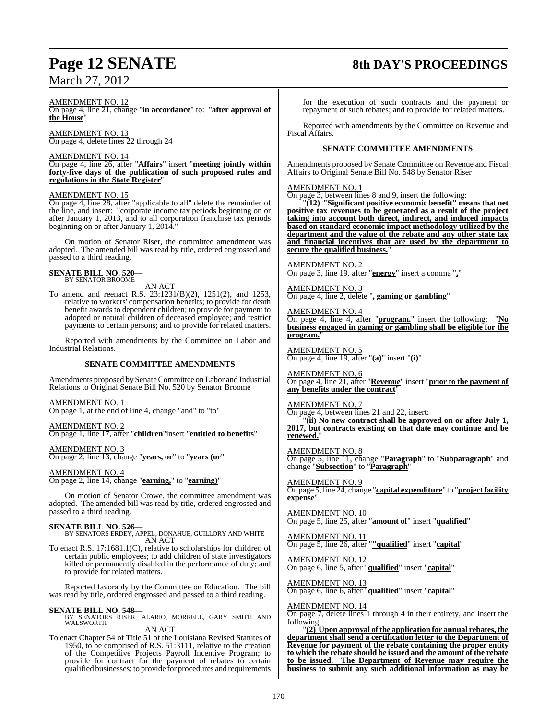#### AMENDMENT NO. 12

On page 4, line 21, change "**in accordance**" to: "**after approval of the House**"

AMENDMENT NO. 13 On page 4, delete lines 22 through 24

#### AMENDMENT NO. 14

On page 4, line 26, after "**Affairs**" insert "**meeting jointly within forty-five days of the publication of such proposed rules and regulations in the State Register**"

#### AMENDMENT NO. 15

On page 4, line 28, after "applicable to all" delete the remainder of the line, and insert: "corporate income tax periods beginning on or after January 1, 2013, and to all corporation franchise tax periods beginning on or after January 1, 2014."

On motion of Senator Riser, the committee amendment was adopted. The amended bill was read by title, ordered engrossed and passed to a third reading.

#### **SENATE BILL NO. 520—** BY SENATOR BROOME

AN ACT

To amend and reenact R.S. 23:1231(B)(2), 1251(2), and 1253, relative to workers' compensation benefits; to provide for death benefit awards to dependent children; to provide for payment to adopted or natural children of deceased employee; and restrict payments to certain persons; and to provide for related matters.

Reported with amendments by the Committee on Labor and Industrial Relations.

#### **SENATE COMMITTEE AMENDMENTS**

Amendments proposed by Senate Committee on Labor and Industrial Relations to Original Senate Bill No. 520 by Senator Broome

AMENDMENT NO. 1 On page 1, at the end of line 4, change "and" to "to"

AMENDMENT NO. 2 On page 1, line 17, after "**children**"insert "**entitled to benefits**"

AMENDMENT NO. 3

On page 2, line 13, change "**years, or**" to "**years (or**"

#### AMENDMENT NO. 4

On page 2, line 14, change "**earning,**" to "**earning)**"

On motion of Senator Crowe, the committee amendment was adopted. The amended bill was read by title, ordered engrossed and passed to a third reading.

**SENATE BILL NO. 526—**<br>BY SENATORS ERDEY, APPEL, DONAHUE, GUILLORY AND WHITE<br>AN ACT

To enact R.S. 17:1681.1(C), relative to scholarships for children of certain public employees; to add children of state investigators killed or permanently disabled in the performance of duty; and to provide for related matters.

Reported favorably by the Committee on Education. The bill was read by title, ordered engrossed and passed to a third reading.

#### **SENATE BILL NO. 548—**

BY SENATORS RISER, ALARIO, MORRELL, GARY SMITH AND WALSWORTH<sup>1</sup>

AN ACT

To enact Chapter 54 of Title 51 of the Louisiana Revised Statutes of 1950, to be comprised of R.S. 51:3111, relative to the creation of the Competitive Projects Payroll Incentive Program; to provide for contract for the payment of rebates to certain qualified businesses; to provide for procedures and requirements

# **Page 12 SENATE 8th DAY'S PROCEEDINGS**

for the execution of such contracts and the payment or repayment of such rebates; and to provide for related matters.

Reported with amendments by the Committee on Revenue and Fiscal Affairs.

#### **SENATE COMMITTEE AMENDMENTS**

Amendments proposed by Senate Committee on Revenue and Fiscal Affairs to Original Senate Bill No. 548 by Senator Riser

#### AMENDMENT NO. 1

On page 3, between lines 8 and 9, insert the following:

"**(12) "Significant positive economic benefit" means that net positive tax revenues to be generated as a result of the project taking into account both direct, indirect, and induced impacts based on standard economic impact methodology utilized by the department and the value of the rebate and any other state tax and financial incentives that are used by the department to secure the qualified business.**"

AMENDMENT NO. 2 On page 3, line 19, after "**energy**" insert a comma "**,**"

AMENDMENT NO. 3 On page 4, line 2, delete "**, gaming or gambling**"

AMENDMENT NO. 4 On page 4, line 4, after "**program.**" insert the following: "**No business engaged in gaming or gambling shall be eligible for the program.**"

AMENDMENT NO. 5 On page 4, line 19, after "**(a)**" insert "**(i)**"

AMENDMENT NO. 6 On page 4, line 21, after "**Revenue**" insert "**prior to the payment of any benefits under the contract**"

AMENDMENT NO. 7 On page 4, between lines 21 and 22, insert: "**(ii) No new contract shall be approved on or after July 1,**

**2017, but contracts existing on that date may continue and be renewed.**"

AMENDMENT NO. 8 On page 5, line 11, change "**Paragraph**" to "**Subparagraph**" and change "**Subsection**" to "**Paragraph**"

AMENDMENT NO. 9 On page 5, line 24, change "**capital expenditure**" to "**projectfacility expense**"

AMENDMENT NO. 10 On page 5, line 25, after "**amount of**" insert "**qualified**"

AMENDMENT NO. 11 On page 5, line 26, after "**"qualified**" insert "**capital**"

AMENDMENT NO. 12 On page 6, line 5, after "**qualified**" insert "**capital**"

AMENDMENT NO. 13 On page 6, line 6, after "**qualified**" insert "**capital**"

#### AMENDMENT NO. 14

On page 7, delete lines 1 through 4 in their entirety, and insert the following:

"**(2) Upon approval of the application for annual rebates, the department shall send a certification letter to the Department of Revenue for payment of the rebate containing the proper entity to which the rebate should be issued and the amount of the rebate to be issued. The Department of Revenue may require the business to submit any such additional information as may be**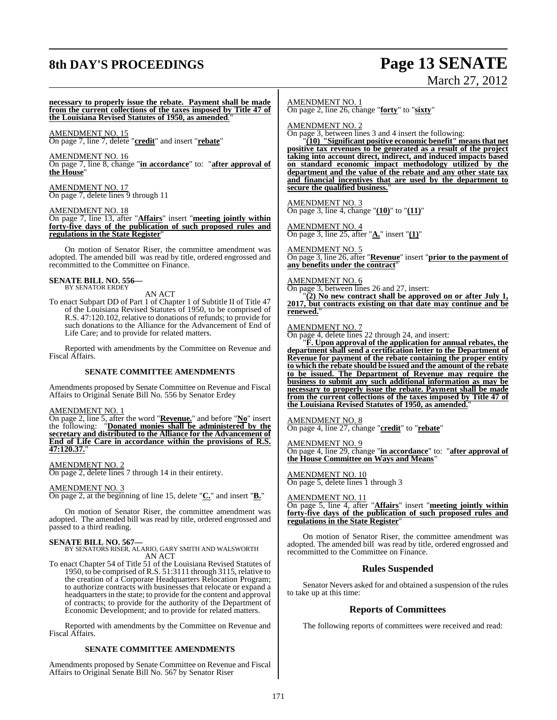# **8th DAY'S PROCEEDINGS Page 13 SENATE**

# March 27, 2012

**necessary to properly issue the rebate. Payment shall be made from the current collections of the taxes imposed by Title 47 of the Louisiana Revised Statutes of 1950, as amended**."

AMENDMENT NO. 15 On page 7, line 7, delete "**credit**" and insert "**rebate**"

AMENDMENT NO. 16

On page 7, line 8, change "**in accordance**" to: "**after approval of the House**"

AMENDMENT NO. 17 On page 7, delete lines 9 through 11

AMENDMENT NO. 18

On page 7, line 13, after "**Affairs**" insert "**meeting jointly within forty-five days of the publication of such proposed rules and regulations in the State Register**"

On motion of Senator Riser, the committee amendment was adopted. The amended bill was read by title, ordered engrossed and recommitted to the Committee on Finance.

#### **SENATE BILL NO. 556—** BY SENATOR ERDEY

AN ACT

To enact Subpart DD of Part 1 of Chapter 1 of Subtitle II of Title 47 of the Louisiana Revised Statutes of 1950, to be comprised of R.S. 47:120.102, relative to donations of refunds; to provide for such donations to the Alliance for the Advancement of End of Life Care; and to provide for related matters.

Reported with amendments by the Committee on Revenue and Fiscal Affairs.

#### **SENATE COMMITTEE AMENDMENTS**

Amendments proposed by Senate Committee on Revenue and Fiscal Affairs to Original Senate Bill No. 556 by Senator Erdey

#### AMENDMENT NO. 1

On page 2, line 5, after the word "**Revenue.**" and before "**No**" insert the following: "**Donated monies shall be administered by the secretary and distributed to the Alliance for the Advancement of End of Life Care in accordance within the provisions of R.S. 47:120.37.**"

#### AMENDMENT NO. 2

On page 2, delete lines 7 through 14 in their entirety.

#### AMENDMENT NO. 3

On page 2, at the beginning of line 15, delete "**C.**" and insert "**B.**"

On motion of Senator Riser, the committee amendment was adopted. The amended bill was read by title, ordered engrossed and passed to a third reading.

#### **SENATE BILL NO. 567—**

BY SENATORS RISER, ALARIO, GARY SMITH AND WALSWORTH AN ACT

To enact Chapter 54 of Title 51 of the Louisiana Revised Statutes of 1950, to be comprised of R.S. 51:3111 through 3115, relative to the creation of a Corporate Headquarters Relocation Program; to authorize contracts with businesses that relocate or expand a headquarters in the state; to provide for the content and approval of contracts; to provide for the authority of the Department of Economic Development; and to provide for related matters.

Reported with amendments by the Committee on Revenue and Fiscal Affairs.

#### **SENATE COMMITTEE AMENDMENTS**

Amendments proposed by Senate Committee on Revenue and Fiscal Affairs to Original Senate Bill No. 567 by Senator Riser

AMENDMENT NO. 1

On page 2, line 26, change "**forty**" to "**sixty**"

AMENDMENT NO. 2

On page 3, between lines 3 and 4 insert the following:

"**(10) "Significant positive economic benefit" means that net positive tax revenues to be generated as a result of the project taking into account direct, indirect, and induced impacts based on standard economic impact methodology utilized by the department and the value of the rebate and any other state tax and financial incentives that are used by the department to secure the qualified business.**"

AMENDMENT NO. 3 On page 3, line 4, change "**(10)**" to "**(11)**"

AMENDMENT NO. 4 On page 3, line 25, after "**A.**" insert "**(1)**"

AMENDMENT NO. 5 On page 3, line 26, after "**Revenue**" insert "**prior to the payment of any benefits under the contract**"

AMENDMENT NO. 6

On page 3, between lines 26 and 27, insert:

"**(2) No new contract shall be approved on or after July 1, 2017, but contracts existing on that date may continue and be renewed.**"

AMEND<u>MENT NO. 7</u>

On page 4, delete lines 22 through 24, and insert:

"**F. Upon approval of the application for annual rebates, the department shall send a certification letter to the Department of Revenue for payment of the rebate containing the proper entity to which the rebate should be issued and the amount of the rebate to be issued. The Department of Revenue may require the business to submit any such additional information as may be necessary to properly issue the rebate. Payment shall be made from the current collections of the taxes imposed by Title 47 of the Louisiana Revised Statutes of 1950, as amended.**"

AMENDMENT NO. 8

On page 4, line 27, change "**credit**" to "**rebate**"

AMENDMENT NO. 9

On page 4, line 29, change "**in accordance**" to: "**after approval of the House Committee on Ways and Means**"

AMENDMENT NO. 10 On page 5, delete lines 1 through 3

AMENDMENT NO. 11 On page 5, line 4, after "**Affairs**" insert "**meeting jointly within forty-five days of the publication of such proposed rules and regulations in the State Register**"

On motion of Senator Riser, the committee amendment was adopted. The amended bill was read by title, ordered engrossed and recommitted to the Committee on Finance.

#### **Rules Suspended**

Senator Nevers asked for and obtained a suspension of the rules to take up at this time:

#### **Reports of Committees**

The following reports of committees were received and read: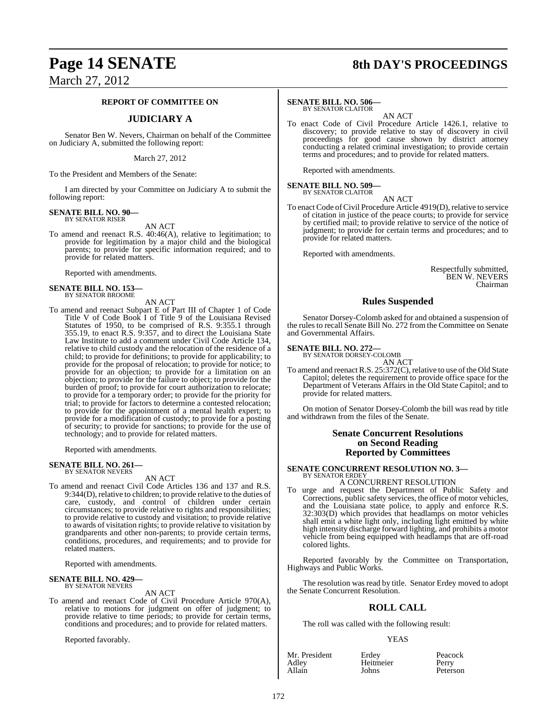# **Page 14 SENATE 8th DAY'S PROCEEDINGS**

March 27, 2012

#### **REPORT OF COMMITTEE ON**

#### **JUDICIARY A**

Senator Ben W. Nevers, Chairman on behalf of the Committee on Judiciary A, submitted the following report:

March 27, 2012

To the President and Members of the Senate:

I am directed by your Committee on Judiciary A to submit the following report:

#### **SENATE BILL NO. 90—** BY SENATOR RISER

AN ACT

To amend and reenact R.S. 40:46(A), relative to legitimation; to provide for legitimation by a major child and the biological parents; to provide for specific information required; and to provide for related matters.

Reported with amendments.

# **SENATE BILL NO. 153—** BY SENATOR BROOME

AN ACT

To amend and reenact Subpart E of Part III of Chapter 1 of Code Title V of Code Book I of Title 9 of the Louisiana Revised Statutes of 1950, to be comprised of R.S. 9:355.1 through 355.19, to enact R.S. 9:357, and to direct the Louisiana State Law Institute to add a comment under Civil Code Article 134, relative to child custody and the relocation of the residence of a child; to provide for definitions; to provide for applicability; to provide for the proposal of relocation; to provide for notice; to provide for an objection; to provide for a limitation on an objection; to provide for the failure to object; to provide for the burden of proof; to provide for court authorization to relocate; to provide for a temporary order; to provide for the priority for trial; to provide for factors to determine a contested relocation; to provide for the appointment of a mental health expert; to provide for a modification of custody; to provide for a posting of security; to provide for sanctions; to provide for the use of technology; and to provide for related matters.

Reported with amendments.

#### **SENATE BILL NO. 261—** BY SENATOR NEVERS

AN ACT

To amend and reenact Civil Code Articles 136 and 137 and R.S. 9:344(D), relative to children; to provide relative to the duties of care, custody, and control of children under certain circumstances; to provide relative to rights and responsibilities; to provide relative to custody and visitation; to provide relative to awards of visitation rights; to provide relative to visitation by grandparents and other non-parents; to provide certain terms, conditions, procedures, and requirements; and to provide for related matters.

Reported with amendments.

# **SENATE BILL NO. 429—** BY SENATOR NEVERS

AN ACT

To amend and reenact Code of Civil Procedure Article 970(A), relative to motions for judgment on offer of judgment; to provide relative to time periods; to provide for certain terms, conditions and procedures; and to provide for related matters.

Reported favorably.

#### **SENATE BILL NO. 506—**

BY SENATOR CLAITOR

AN ACT To enact Code of Civil Procedure Article 1426.1, relative to discovery; to provide relative to stay of discovery in civil proceedings for good cause shown by district attorney conducting a related criminal investigation; to provide certain terms and procedures; and to provide for related matters.

Reported with amendments.

# **SENATE BILL NO. 509—** BY SENATOR CLAITOR

AN ACT To enact Code of Civil Procedure Article 4919(D), relative to service of citation in justice of the peace courts; to provide for service by certified mail; to provide relative to service of the notice of judgment; to provide for certain terms and procedures; and to provide for related matters.

Reported with amendments.

Respectfully submitted, BEN W. NEVERS Chairman

#### **Rules Suspended**

Senator Dorsey-Colomb asked for and obtained a suspension of the rules to recall Senate Bill No. 272 from the Committee on Senate and Governmental Affairs.

#### **SENATE BILL NO. 272—**

BY SENATOR DORSEY-COLOMB

AN ACT To amend and reenact R.S. 25:372(C), relative to use of the Old State Capitol; deletes the requirement to provide office space for the Department of Veterans Affairs in the Old State Capitol; and to provide for related matters.

On motion of Senator Dorsey-Colomb the bill was read by title and withdrawn from the files of the Senate.

#### **Senate Concurrent Resolutions on Second Reading Reported by Committees**

# **SENATE CONCURRENT RESOLUTION NO. 3—** BY SENATOR ERDEY

A CONCURRENT RESOLUTION

To urge and request the Department of Public Safety and Corrections, public safety services, the office of motor vehicles, and the Louisiana state police, to apply and enforce R.S. 32:303(D) which provides that headlamps on motor vehicles shall emit a white light only, including light emitted by white high intensity discharge forward lighting, and prohibits a motor vehicle from being equipped with headlamps that are off-road colored lights.

Reported favorably by the Committee on Transportation, Highways and Public Works.

The resolution was read by title. Senator Erdey moved to adopt the Senate Concurrent Resolution.

#### **ROLL CALL**

The roll was called with the following result:

#### YEAS

| Mr. President | Erdey     | Peacock  |
|---------------|-----------|----------|
| Adlev         | Heitmeier | Perry    |
| Allain        | Johns     | Peterson |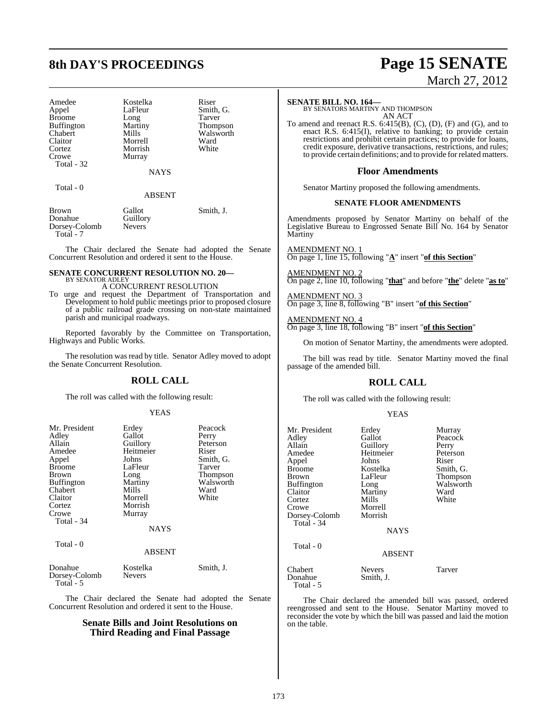# **8th DAY'S PROCEEDINGS Page 15 SENATE**

Amedee Kostelka Riser<br>Appel LaFleur Smith Broome Long<br>Buffington Martiny Buffington Martiny Thompson<br>Chabert Mills Walsworth Claitor Morrell Ward Cortez Morrish<br>Crowe Murray Total - 32

LaFleur Smith, G.<br>Long Tarver Murray

**NAYS** 

Walsworth<br>Ward

Total - 0

Total - 5

ABSENT

| Brown         | Gallot        | Smith, J. |
|---------------|---------------|-----------|
| Donahue       | Guillory      |           |
| Dorsey-Colomb | <b>Nevers</b> |           |
| Total - 7     |               |           |

The Chair declared the Senate had adopted the Senate Concurrent Resolution and ordered it sent to the House.

#### **SENATE CONCURRENT RESOLUTION NO. 20—** BY SENATOR ADLEY

A CONCURRENT RESOLUTION To urge and request the Department of Transportation and Development to hold public meetings prior to proposed closure of a public railroad grade crossing on non-state maintained parish and municipal roadways.

Reported favorably by the Committee on Transportation, Highways and Public Works.

The resolution was read by title. Senator Adley moved to adopt the Senate Concurrent Resolution.

#### **ROLL CALL**

The roll was called with the following result:

#### YEAS

| Mr. President<br>Adley<br>Allain<br>Amedee | Erdey<br>Gallot<br>Guillory<br>Heitmeier | Peacock<br>Perry<br>Peterson<br>Riser |
|--------------------------------------------|------------------------------------------|---------------------------------------|
| Appel<br><b>Broome</b>                     | Johns<br>LaFleur                         | Smith, G.<br>Tarver                   |
| <b>Brown</b>                               | Long                                     | Thompson                              |
| <b>Buffington</b><br>Chabert               | Martiny<br>Mills                         | Walsworth<br>Ward                     |
| Claitor                                    | Morrell                                  | White                                 |
| Cortez<br>Crowe                            | Morrish<br>Murray                        |                                       |
| Total - 34                                 | <b>NAYS</b>                              |                                       |
| Total - 0                                  |                                          |                                       |
|                                            | <b>ABSENT</b>                            |                                       |
| Donahue<br>Dorsey-Colomb                   | Kostelka<br><b>Nevers</b>                | Smith, J.                             |

The Chair declared the Senate had adopted the Senate Concurrent Resolution and ordered it sent to the House.

#### **Senate Bills and Joint Resolutions on Third Reading and Final Passage**

# March 27, 2012

**SENATE BILL NO. 164—** BY SENATORS MARTINY AND THOMPSON AN ACT

To amend and reenact R.S. 6:415(B), (C), (D), (F) and (G), and to enact R.S. 6:415(I), relative to banking; to provide certain restrictions and prohibit certain practices; to provide for loans, credit exposure, derivative transactions, restrictions, and rules; to provide certain definitions; and to provide for related matters.

#### **Floor Amendments**

Senator Martiny proposed the following amendments.

#### **SENATE FLOOR AMENDMENTS**

Amendments proposed by Senator Martiny on behalf of the Legislative Bureau to Engrossed Senate Bill No. 164 by Senator Martiny

AMENDMENT NO. 1 On page 1, line 15, following "**A**" insert "**of this Section**"

AMENDMENT NO. 2 On page 2, line 10, following "**that**" and before "**the**" delete "**as to**"

AMENDMENT NO. 3 On page 3, line 8, following "B" insert "**of this Section**"

AMENDMENT NO. 4 On page 3, line 18, following "B" insert "**of this Section**"

On motion of Senator Martiny, the amendments were adopted.

The bill was read by title. Senator Martiny moved the final passage of the amended bill.

## **ROLL CALL**

The roll was called with the following result:

#### YEAS

| Mr. President<br>Adlev<br>Allain<br>Amedee<br>Appel<br>Broome<br>Brown<br>Buffington<br>Claitor<br>Cortez<br>Crowe<br>Dorsey-Colomb<br>Total - 34 | Erdey<br>Gallot<br>Guillory<br>Heitmeier<br>Johns<br>Kostelka<br>LaFleur<br>Long<br>Martiny<br>Mills<br>Morrell<br>Morrish<br><b>NAYS</b> | Murray<br>Peacock<br>Perry<br>Peterson<br>Riser<br>Smith, G.<br>Thompson<br>Walsworth<br>Ward<br>White |
|---------------------------------------------------------------------------------------------------------------------------------------------------|-------------------------------------------------------------------------------------------------------------------------------------------|--------------------------------------------------------------------------------------------------------|
| Total - 0                                                                                                                                         | <b>ABSENT</b>                                                                                                                             |                                                                                                        |
| Chabert<br>Donahue<br>Total - 5                                                                                                                   | <b>Nevers</b><br>Smith, J.                                                                                                                | Tarver                                                                                                 |

The Chair declared the amended bill was passed, ordered reengrossed and sent to the House. Senator Martiny moved to reconsider the vote by which the bill was passed and laid the motion on the table.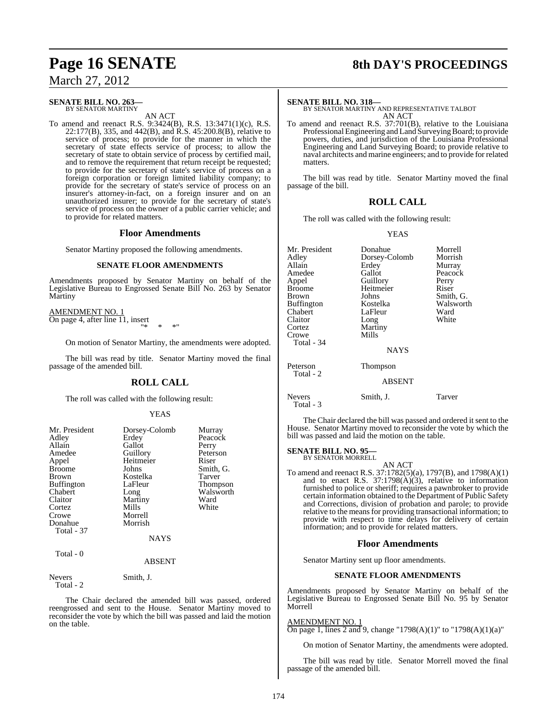#### **SENATE BILL NO. 263—** BY SENATOR MARTINY

AN ACT

To amend and reenact R.S. 9:3424(B), R.S. 13:3471(1)(c), R.S. 22:177(B), 335, and 442(B), and R.S. 45:200.8(B), relative to service of process; to provide for the manner in which the secretary of state effects service of process; to allow the secretary of state to obtain service of process by certified mail, and to remove the requirement that return receipt be requested; to provide for the secretary of state's service of process on a foreign corporation or foreign limited liability company; to provide for the secretary of state's service of process on an insurer's attorney-in-fact, on a foreign insurer and on an unauthorized insurer; to provide for the secretary of state's service of process on the owner of a public carrier vehicle; and to provide for related matters.

#### **Floor Amendments**

Senator Martiny proposed the following amendments.

#### **SENATE FLOOR AMENDMENTS**

Amendments proposed by Senator Martiny on behalf of the Legislative Bureau to Engrossed Senate Bill No. 263 by Senator Martiny

AMENDMENT NO. 1 On page 4, after line 11, insert "\* \* \*"

On motion of Senator Martiny, the amendments were adopted.

The bill was read by title. Senator Martiny moved the final passage of the amended bill.

#### **ROLL CALL**

The roll was called with the following result:

#### YEAS

| Mr. President     | Dorsey-Colomb | Murray          |
|-------------------|---------------|-----------------|
| Adley             | Erdey         | Peacock         |
| Allain            | Gallot        | Perry           |
| Amedee            | Guillory      | Peterson        |
| Appel             | Heitmeier     | Riser           |
| <b>Broome</b>     | Johns         | Smith, G.       |
| Brown             | Kostelka      | Tarver          |
| <b>Buffington</b> | LaFleur       | <b>Thompson</b> |
| Chabert           | Long          | Walsworth       |
| Claitor           | Martiny       | Ward            |
| Cortez            | Mills         | White           |
| Crowe             | Morrell       |                 |
| Donahue           | Morrish       |                 |
| Total - 37        |               |                 |
|                   | <b>NAYS</b>   |                 |
| Total - 0         | ABSENT        |                 |

Nevers Smith, J. Total - 2

The Chair declared the amended bill was passed, ordered reengrossed and sent to the House. Senator Martiny moved to reconsider the vote by which the bill was passed and laid the motion on the table.

# **Page 16 SENATE 8th DAY'S PROCEEDINGS**

**SENATE BILL NO. 318—** BY SENATOR MARTINY AND REPRESENTATIVE TALBOT AN ACT

To amend and reenact R.S. 37:701(B), relative to the Louisiana Professional Engineering and Land Surveying Board; to provide powers, duties, and jurisdiction of the Louisiana Professional Engineering and Land Surveying Board; to provide relative to naval architects and marine engineers; and to provide for related matters.

The bill was read by title. Senator Martiny moved the final passage of the bill.

#### **ROLL CALL**

The roll was called with the following result:

#### YEAS

| Mr. President<br>Adley<br>Allain<br>Amedee<br>Appel<br><b>Broome</b><br>Brown<br>Buffington<br>Chabert<br>Claitor<br>Cortez<br>Crowe<br>Total - 34 | Donahue<br>Dorsey-Colomb<br>Erdey<br>Gallot<br>Guillory<br>Heitmeier<br>Johns<br>Kostelka<br>LaFleur<br>Long<br>Martiny<br>Mills<br>NAYS | Morrell<br>Morrish<br>Murray<br>Peacock<br>Perry<br>Riser<br>Smith, G.<br>Walsworth<br>Ward<br>White |
|----------------------------------------------------------------------------------------------------------------------------------------------------|------------------------------------------------------------------------------------------------------------------------------------------|------------------------------------------------------------------------------------------------------|
| Peterson<br>Total - 2                                                                                                                              | <b>Thompson</b><br><b>ABSENT</b>                                                                                                         |                                                                                                      |
| <b>Nevers</b><br>Total - 3                                                                                                                         | Smith, J.                                                                                                                                | Tarver                                                                                               |

The Chair declared the bill was passed and ordered it sent to the House. Senator Martiny moved to reconsider the vote by which the bill was passed and laid the motion on the table.

#### **SENATE BILL NO. 95**

BY SENATOR MORRELL AN ACT

To amend and reenact R.S. 37:1782(5)(a), 1797(B), and 1798(A)(1) and to enact R.S. 37:1798(A)(3), relative to information furnished to police or sheriff; requires a pawnbroker to provide certain information obtained to the Department of Public Safety and Corrections, division of probation and parole; to provide relative to the means for providing transactional information; to provide with respect to time delays for delivery of certain information; and to provide for related matters.

#### **Floor Amendments**

Senator Martiny sent up floor amendments.

#### **SENATE FLOOR AMENDMENTS**

Amendments proposed by Senator Martiny on behalf of the Legislative Bureau to Engrossed Senate Bill No. 95 by Senator Morrell

#### AMENDMENT NO. 1

On page 1, lines 2 and 9, change "1798(A)(1)" to "1798(A)(1)(a)"

On motion of Senator Martiny, the amendments were adopted.

The bill was read by title. Senator Morrell moved the final passage of the amended bill.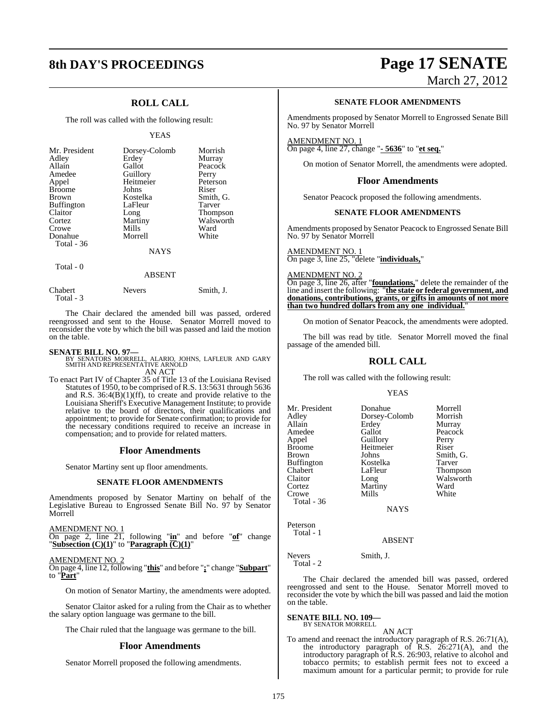## **ROLL CALL**

The roll was called with the following result:

#### YEAS

| Mr. President<br>Adley<br>Allain<br>Amedee<br>Appel<br><b>Broome</b><br><b>Brown</b> | Dorsey-Colomb<br>Erdey<br>Gallot<br>Guillory<br>Heitmeier<br>Johns<br>Kostelka | Morrish<br>Murray<br>Peacock<br>Perry<br>Peterson<br>Riser<br>Smith, G. |
|--------------------------------------------------------------------------------------|--------------------------------------------------------------------------------|-------------------------------------------------------------------------|
| <b>Buffington</b>                                                                    | LaFleur                                                                        | <b>Tarver</b>                                                           |
| Claitor                                                                              | Long                                                                           | <b>Thompson</b>                                                         |
| Cortez                                                                               | Martiny                                                                        | Walsworth                                                               |
| Crowe                                                                                | Mills                                                                          | Ward                                                                    |
| Donahue                                                                              | Morrell                                                                        | White                                                                   |
| Total - 36                                                                           |                                                                                |                                                                         |
|                                                                                      | <b>NAYS</b>                                                                    |                                                                         |

Total - 0

#### ABSENT

| Chabert     | <b>Nevers</b> | Smith, J. |
|-------------|---------------|-----------|
| Total - $3$ |               |           |

The Chair declared the amended bill was passed, ordered reengrossed and sent to the House. Senator Morrell moved to reconsider the vote by which the bill was passed and laid the motion on the table.

**SENATE BILL NO. 97—**<br>BY SENATORS MORRELL, ALARIO, JOHNS, LAFLEUR AND GARY<br>SMITH AND REPRESENTATIVE ARNOLD AN ACT

To enact Part IV of Chapter 35 of Title 13 of the Louisiana Revised Statutes of 1950, to be comprised of R.S. 13:5631 through 5636 and R.S.  $36:4(B)(1)(ff)$ , to create and provide relative to the Louisiana Sheriff's Executive Management Institute; to provide relative to the board of directors, their qualifications and appointment; to provide for Senate confirmation; to provide for the necessary conditions required to receive an increase in compensation; and to provide for related matters.

#### **Floor Amendments**

Senator Martiny sent up floor amendments.

#### **SENATE FLOOR AMENDMENTS**

Amendments proposed by Senator Martiny on behalf of the Legislative Bureau to Engrossed Senate Bill No. 97 by Senator Morrell

AMENDMENT NO. 1 On page 2, line 21, following "**in**" and before "**of**" change "**Subsection (C)(1)**" to "**Paragraph (C)(1)**"

AMENDMENT NO. 2 On page 4, line 12, following "**this**" and before "**;**" change "**Subpart**" to "**Part**"

On motion of Senator Martiny, the amendments were adopted.

Senator Claitor asked for a ruling from the Chair as to whether the salary option language was germane to the bill.

The Chair ruled that the language was germane to the bill.

#### **Floor Amendments**

Senator Morrell proposed the following amendments.

# **8th DAY'S PROCEEDINGS Page 17 SENATE**

March 27, 2012

#### **SENATE FLOOR AMENDMENTS**

Amendments proposed by Senator Morrell to Engrossed Senate Bill No. 97 by Senator Morrell

#### AMENDMENT NO. 1 On page 4, line 27, change "**- 5636**" to "**et seq.**"

On motion of Senator Morrell, the amendments were adopted.

#### **Floor Amendments**

Senator Peacock proposed the following amendments.

#### **SENATE FLOOR AMENDMENTS**

Amendments proposed by Senator Peacock to Engrossed Senate Bill No. 97 by Senator Morrell

AMENDMENT NO. 1 On page 3, line 25, "delete "**individuals,**"

#### AMENDMENT NO. 2

On page 3, line 26, after "**foundations,**" delete the remainder of the line and insert the following: "**the state or federal government, and donations, contributions, grants, or gifts in amounts of not more than two hundred dollars from any one individual.**"

On motion of Senator Peacock, the amendments were adopted.

The bill was read by title. Senator Morrell moved the final passage of the amended bill.

### **ROLL CALL**

The roll was called with the following result:

#### YEAS

| Mr. President     | Donahue       | Morrell   |
|-------------------|---------------|-----------|
|                   |               |           |
| Adley             | Dorsey-Colomb | Morrish   |
| Allain            | Erdey         | Murray    |
| Amedee            | Gallot        | Peacock   |
| Appel             | Guillory      | Perry     |
| <b>Broome</b>     | Heitmeier     | Riser     |
| <b>Brown</b>      | Johns         | Smith, G. |
| <b>Buffington</b> | Kostelka      | Tarver    |
| Chabert           | LaFleur       | Thompson  |
| Claitor           | Long          | Walsworth |
| Cortez            | Martiny       | Ward      |
| Crowe             | Mills         | White     |
| Total - 36        |               |           |
|                   | NAYS          |           |

#### ABSENT

Nevers Smith, J. Total - 2

Peterson Total - 1

The Chair declared the amended bill was passed, ordered reengrossed and sent to the House. Senator Morrell moved to reconsider the vote by which the bill was passed and laid the motion on the table.

# **SENATE BILL NO. 109—** BY SENATOR MORRELL

AN ACT

To amend and reenact the introductory paragraph of R.S. 26:71(A), the introductory paragraph of R.S. 26:271(A), and the introductory paragraph of R.S. 26:903, relative to alcohol and tobacco permits; to establish permit fees not to exceed a maximum amount for a particular permit; to provide for rule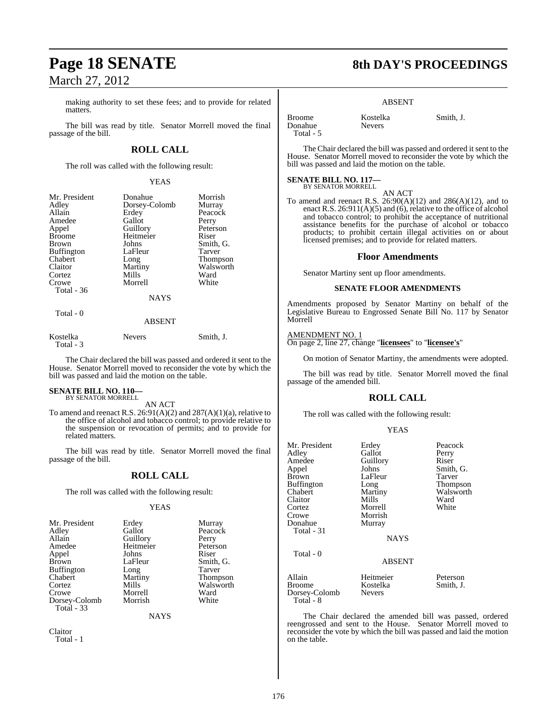making authority to set these fees; and to provide for related matters.

The bill was read by title. Senator Morrell moved the final passage of the bill.

### **ROLL CALL**

The roll was called with the following result:

#### YEAS

| Mr. President     | Donahue       | Morrish         |
|-------------------|---------------|-----------------|
| Adley             | Dorsey-Colomb | Murray          |
| Allain            | Erdey         | Peacock         |
| Amedee            | Gallot        | Perry           |
| Appel             | Guillory      | Peterson        |
| <b>Broome</b>     | Heitmeier     | Riser           |
| <b>Brown</b>      | Johns         | Smith, G.       |
| <b>Buffington</b> | LaFleur       | Tarver          |
| Chabert           | Long          | <b>Thompson</b> |
| Claitor           | Martiny       | Walsworth       |
| Cortez            | Mills         | Ward            |
| Crowe             | Morrell       | White           |
| Total - 36        |               |                 |
|                   | <b>NAYS</b>   |                 |

## Total - 0

## ABSENT

| Kostelka  | <b>Nevers</b> | Smith, J. |
|-----------|---------------|-----------|
| Total - 3 |               |           |

The Chair declared the bill was passed and ordered it sent to the House. Senator Morrell moved to reconsider the vote by which the bill was passed and laid the motion on the table.

#### **SENATE BILL NO. 110—** BY SENATOR MORRELL

AN ACT

To amend and reenact R.S.  $26:91(A)(2)$  and  $287(A)(1)(a)$ , relative to the office of alcohol and tobacco control; to provide relative to the suspension or revocation of permits; and to provide for related matters.

The bill was read by title. Senator Morrell moved the final passage of the bill.

## **ROLL CALL**

The roll was called with the following result:

#### YEAS

| Mr. President     | Erdey     | Murray                |
|-------------------|-----------|-----------------------|
| Adley             | Gallot    | Peacock               |
| Allain            | Guillory  | Perry                 |
| Amedee            | Heitmeier | Peterson              |
| Appel             | Johns     | Riser                 |
| Brown             | LaFleur   | Smith, G.             |
| <b>Buffington</b> | Long      | Tarver                |
| Chabert           | Martiny   |                       |
| Cortez            | Mills     | Thompson<br>Walsworth |
| Crowe             | Morrell   | Ward                  |
| Dorsey-Colomb     | Morrish   | White                 |
| Total - 33        |           |                       |
|                   |           |                       |

NAYS

Claitor Total - 1

# **Page 18 SENATE 8th DAY'S PROCEEDINGS**

#### ABSENT

| <b>Broome</b> | Kostelka      | Smith. J. |
|---------------|---------------|-----------|
| Donahue       | <b>Nevers</b> |           |
| Total - 5     |               |           |

The Chair declared the bill was passed and ordered it sent to the House. Senator Morrell moved to reconsider the vote by which the bill was passed and laid the motion on the table.

#### **SENATE BILL NO. 117—**

BY SENATOR MORRELL AN ACT

To amend and reenact R.S.  $26:90(A)(12)$  and  $286(A)(12)$ , and to enact R.S. 26:911(A)(5) and (6), relative to the office of alcohol and tobacco control; to prohibit the acceptance of nutritional assistance benefits for the purchase of alcohol or tobacco products; to prohibit certain illegal activities on or about licensed premises; and to provide for related matters.

#### **Floor Amendments**

Senator Martiny sent up floor amendments.

#### **SENATE FLOOR AMENDMENTS**

Amendments proposed by Senator Martiny on behalf of the Legislative Bureau to Engrossed Senate Bill No. 117 by Senator Morrell

#### AMENDMENT NO. 1

On page 2, line 27, change "**licensees**" to "**licensee's**"

On motion of Senator Martiny, the amendments were adopted.

The bill was read by title. Senator Morrell moved the final passage of the amended bill.

#### **ROLL CALL**

The roll was called with the following result:

#### YEAS

| Mr. President<br>Adley<br>Amedee<br>Appel<br>Brown<br>Buffington<br>Chabert<br>Claitor<br>Cortez<br>Crowe<br>Donahue<br>Total - 31<br>Total - 0 | Erdey<br>Gallot<br>Guillory<br>Johns<br>LaFleur<br>Long<br>Martiny<br>Mills<br>Morrell<br>Morrish<br>Murray<br><b>NAYS</b> | Peacock<br>Perry<br>Riser<br>Smith, G.<br>Tarver<br>Thompson<br>Walsworth<br>Ward<br>White |
|-------------------------------------------------------------------------------------------------------------------------------------------------|----------------------------------------------------------------------------------------------------------------------------|--------------------------------------------------------------------------------------------|
|                                                                                                                                                 | <b>ABSENT</b>                                                                                                              |                                                                                            |
| Allain<br>Broome<br>Dorsey-Colomb<br>Total - 8                                                                                                  | Heitmeier<br>Kostelka<br><b>Nevers</b>                                                                                     | Peterson<br>Smith, J.                                                                      |

The Chair declared the amended bill was passed, ordered reengrossed and sent to the House. Senator Morrell moved to reconsider the vote by which the bill was passed and laid the motion on the table.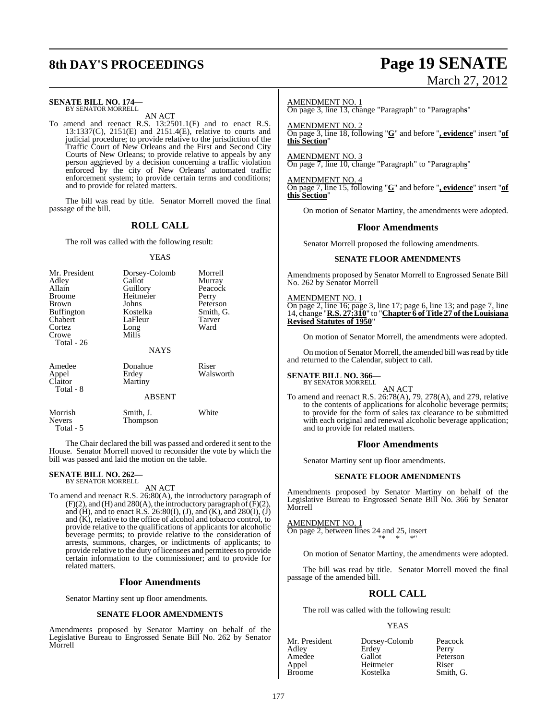# **8th DAY'S PROCEEDINGS Page 19 SENATE**

#### **SENATE BILL NO. 174—** BY SENATOR MORRELL

AN ACT

To amend and reenact R.S. 13:2501.1(F) and to enact R.S. 13:1337(C), 2151(E) and 2151.4(E), relative to courts and judicial procedure; to provide relative to the jurisdiction of the Traffic Court of New Orleans and the First and Second City Courts of New Orleans; to provide relative to appeals by any person aggrieved by a decision concerning a traffic violation enforced by the city of New Orleans' automated traffic enforcement system; to provide certain terms and conditions; and to provide for related matters.

The bill was read by title. Senator Morrell moved the final passage of the bill.

#### **ROLL CALL**

The roll was called with the following result:

#### YEAS

| Mr. President<br>Adley<br>Allain<br>Broome<br>Brown<br><b>Buffington</b><br>Chabert<br>Cortez<br>Crowe<br>Total - 26 | Dorsey-Colomb<br>Gallot<br>Guillory<br>Heitmeier<br>Johns<br>Kostelka<br>LaFleur<br>Long<br>Mills<br><b>NAYS</b> | Morrell<br>Murray<br>Peacock<br>Perry<br>Peterson<br>Smith, G.<br>Tarver<br>Ward |
|----------------------------------------------------------------------------------------------------------------------|------------------------------------------------------------------------------------------------------------------|----------------------------------------------------------------------------------|
| Amedee<br>Appel<br>Claitor<br>Total - 8                                                                              | Donahue<br>Erdey<br>Martiny<br><b>ABSENT</b>                                                                     | Riser<br>Walsworth                                                               |
| Morrish                                                                                                              | Smith, J.                                                                                                        | White                                                                            |

The Chair declared the bill was passed and ordered it sent to the House. Senator Morrell moved to reconsider the vote by which the bill was passed and laid the motion on the table.

# **SENATE BILL NO. 262—** BY SENATOR MORRELL

Total - 5

Nevers Thompson

AN ACT

To amend and reenact R.S. 26:80(A), the introductory paragraph of  $(F)(2)$ , and  $(H)$  and  $280(A)$ , the introductory paragraph of  $(F)(2)$ , and (H), and to enact R.S. 26:80(I), (J), and  $(K)$ , and  $280(I)$ , (J) and (K), relative to the office of alcohol and tobacco control, to provide relative to the qualifications of applicants for alcoholic beverage permits; to provide relative to the consideration of arrests, summons, charges, or indictments of applicants; to provide relative to the duty of licensees and permitees to provide certain information to the commissioner; and to provide for related matters.

#### **Floor Amendments**

Senator Martiny sent up floor amendments.

#### **SENATE FLOOR AMENDMENTS**

Amendments proposed by Senator Martiny on behalf of the Legislative Bureau to Engrossed Senate Bill No. 262 by Senator Morrell

# March 27, 2012

#### AMENDMENT NO. 1

On page 3, line 13, change "Paragraph" to "Paragraph**s**"

AMENDMENT NO. 2 On page 3, line 18, following "**G**" and before "**, evidence**" insert "**of this Section**"

AMENDMENT NO. 3 On page 7, line 10, change "Paragraph" to "Paragraph**s**"

AMENDMENT NO. 4 On page 7, line 15, following "**G**" and before "**, evidence**" insert "**of this Section**"

On motion of Senator Martiny, the amendments were adopted.

#### **Floor Amendments**

Senator Morrell proposed the following amendments.

#### **SENATE FLOOR AMENDMENTS**

Amendments proposed by Senator Morrell to Engrossed Senate Bill No. 262 by Senator Morrell

AMENDMENT NO. 1 On page 2, line 16; page 3, line 17; page 6, line 13; and page 7, line 14, change "**R.S. 27:310**" to "**Chapter 6 of Title 27 of theLouisiana Revised Statutes of 1950**"

On motion of Senator Morrell, the amendments were adopted.

On motion of Senator Morrell, the amended bill wasread by title and returned to the Calendar, subject to call.

**SENATE BILL NO. 366—** BY SENATOR MORRELL

AN ACT

To amend and reenact R.S. 26:78(A), 79, 278(A), and 279, relative to the contents of applications for alcoholic beverage permits; to provide for the form of sales tax clearance to be submitted with each original and renewal alcoholic beverage application; and to provide for related matters.

#### **Floor Amendments**

Senator Martiny sent up floor amendments.

#### **SENATE FLOOR AMENDMENTS**

Amendments proposed by Senator Martiny on behalf of the Legislative Bureau to Engrossed Senate Bill No. 366 by Senator Morrell

AMENDMENT NO. 1 On page 2, between lines 24 and 25, insert "\* \* \*"

On motion of Senator Martiny, the amendments were adopted.

The bill was read by title. Senator Morrell moved the final passage of the amended bill.

#### **ROLL CALL**

The roll was called with the following result:

#### YEAS

| Mr. President | Dorsey-Colomb | Peacock   |
|---------------|---------------|-----------|
| Adlev         | Erdey         | Perry     |
| Amedee        | Gallot        | Peterson  |
| Appel         | Heitmeier     | Riser     |
| Broome        | Kostelka      | Smith. G. |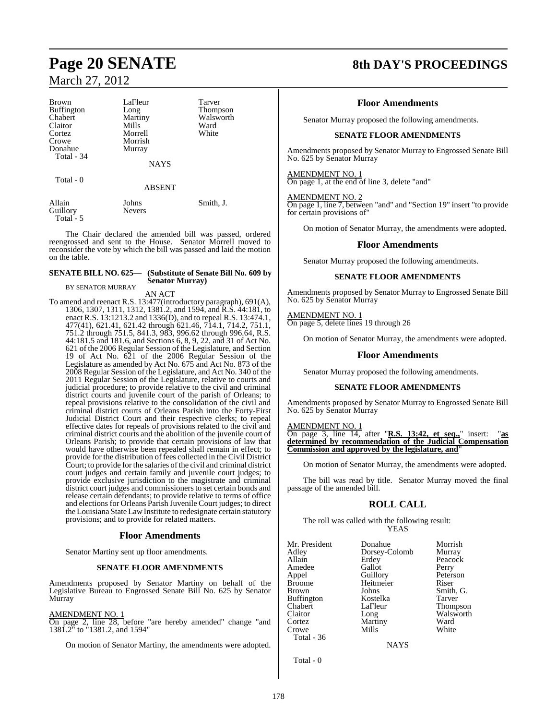| <b>Brown</b>       | LaFleur         | Tarver    |
|--------------------|-----------------|-----------|
| <b>Buffington</b>  | Long            | Thompson  |
| Chabert            | Martiny         | Walsworth |
| Claitor            | Mills           | Ward      |
| Cortez             | Morrell         | White     |
| Crowe              | Morrish         |           |
| Donahue            | Murray          |           |
| Total - 34         |                 |           |
|                    | <b>NAYS</b>     |           |
| Total - 0          |                 |           |
|                    | <b>ABSENT</b>   |           |
| Allain<br>Guillory | Johns<br>Nevers | Smith, J. |

The Chair declared the amended bill was passed, ordered reengrossed and sent to the House. Senator Morrell moved to reconsider the vote by which the bill was passed and laid the motion on the table.

#### **SENATE BILL NO. 625— (Substitute of Senate Bill No. 609 by Senator Murray)**

BY SENATOR MURRAY

Total - 5

AN ACT

To amend and reenact R.S. 13:477(introductory paragraph), 691(A), 1306, 1307, 1311, 1312, 1381.2, and 1594, and R.S. 44:181, to enact R.S. 13:1213.2 and 1336(D), and to repeal R.S. 13:474.1, 477(41), 621.41, 621.42 through 621.46, 714.1, 714.2, 751.1, 751.2 through 751.5, 841.3, 983, 996.62 through 996.64, R.S. 44:181.5 and 181.6, and Sections 6, 8, 9, 22, and 31 of Act No. 621 of the 2006 Regular Session of the Legislature, and Section 19 of Act No. 621 of the 2006 Regular Session of the Legislature as amended by Act No. 675 and Act No. 873 of the 2008 Regular Session of the Legislature, and Act No. 340 of the 2011 Regular Session of the Legislature, relative to courts and judicial procedure; to provide relative to the civil and criminal district courts and juvenile court of the parish of Orleans; to repeal provisions relative to the consolidation of the civil and criminal district courts of Orleans Parish into the Forty-First Judicial District Court and their respective clerks; to repeal effective dates for repeals of provisions related to the civil and criminal district courts and the abolition of the juvenile court of Orleans Parish; to provide that certain provisions of law that would have otherwise been repealed shall remain in effect; to provide for the distribution of fees collected in the Civil District Court; to provide for the salaries of the civil and criminal district court judges and certain family and juvenile court judges; to provide exclusive jurisdiction to the magistrate and criminal district court judges and commissionersto set certain bonds and release certain defendants; to provide relative to terms of office and elections for Orleans Parish Juvenile Court judges; to direct the Louisiana State LawInstitute to redesignate certain statutory provisions; and to provide for related matters.

#### **Floor Amendments**

Senator Martiny sent up floor amendments.

#### **SENATE FLOOR AMENDMENTS**

Amendments proposed by Senator Martiny on behalf of the Legislative Bureau to Engrossed Senate Bill No. 625 by Senator Murray

#### AMENDMENT NO. 1

On page 2, line 28, before "are hereby amended" change "and 1381.2" to "1381.2, and 1594"

On motion of Senator Martiny, the amendments were adopted.

# **Page 20 SENATE 8th DAY'S PROCEEDINGS**

#### **Floor Amendments**

Senator Murray proposed the following amendments.

#### **SENATE FLOOR AMENDMENTS**

Amendments proposed by Senator Murray to Engrossed Senate Bill No. 625 by Senator Murray

#### AMENDMENT NO. 1

On page 1, at the end of line 3, delete "and"

#### AMENDMENT NO. 2

On page 1, line 7, between "and" and "Section 19" insert "to provide for certain provisions of"

On motion of Senator Murray, the amendments were adopted.

#### **Floor Amendments**

Senator Murray proposed the following amendments.

#### **SENATE FLOOR AMENDMENTS**

Amendments proposed by Senator Murray to Engrossed Senate Bill No. 625 by Senator Murray

#### AMENDMENT NO. 1

On page 5, delete lines 19 through 26

On motion of Senator Murray, the amendments were adopted.

#### **Floor Amendments**

Senator Murray proposed the following amendments.

#### **SENATE FLOOR AMENDMENTS**

Amendments proposed by Senator Murray to Engrossed Senate Bill No. 625 by Senator Murray

AMENDMENT NO. 1

On page 3, line 14, after "**R.S. 13:42, et seq.,**" insert: "**as determined by recommendation of the Judicial Compensation Commission and approved by the legislature, and**"

On motion of Senator Murray, the amendments were adopted.

The bill was read by title. Senator Murray moved the final passage of the amended bill.

#### **ROLL CALL**

The roll was called with the following result: YEAS

| Mr. President     | Donahue       | Morrish   |
|-------------------|---------------|-----------|
| Adley             | Dorsey-Colomb | Murray    |
| Allain            | Erdey         | Peacock   |
| Amedee            | Gallot        | Perry     |
| Appel             | Guillory      | Peterson  |
| <b>Broome</b>     | Heitmeier     | Riser     |
| <b>Brown</b>      | Johns         | Smith, G. |
| <b>Buffington</b> | Kostelka      | Tarver    |
| Chabert           | LaFleur       | Thompson  |
| Claitor           | Long          | Walsworth |
| Cortez            | Martiny       | Ward      |
| Crowe             | Mills         | White     |
| Total - $36$      |               |           |
|                   | <b>NAYS</b>   |           |

Total - 0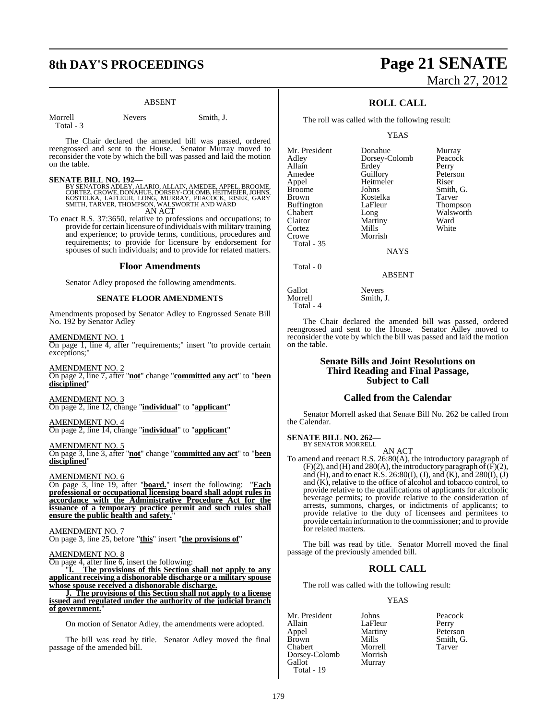# **8th DAY'S PROCEEDINGS Page 21 SENATE**

#### ABSENT

Total - 3

Morrell Nevers Smith, J.

The Chair declared the amended bill was passed, ordered reengrossed and sent to the House. Senator Murray moved to reconsider the vote by which the bill was passed and laid the motion on the table.

#### **SENATE BILL NO. 192—**

BY SENATORS ADLEY, ALARIO, ALLAIN, AMEDEE, APPEL, BROOME,<br>CORTEZ, CROWE, DONAHUE, DORSEY-COLOMB, HEITMEIER, JOHNS,<br>KOSTELKA, LAFLEUR, LONG, MURRAY, PEACOCK, RISER, GARY<br>SMITH, TARVER, THOMPSON, WALSWORTH AND WARD

AN ACT

To enact R.S. 37:3650, relative to professions and occupations; to provide for certain licensure ofindividualswith military training and experience; to provide terms, conditions, procedures and requirements; to provide for licensure by endorsement for spouses of such individuals; and to provide for related matters.

#### **Floor Amendments**

Senator Adley proposed the following amendments.

#### **SENATE FLOOR AMENDMENTS**

Amendments proposed by Senator Adley to Engrossed Senate Bill No. 192 by Senator Adley

AMENDMENT NO. 1

On page 1, line 4, after "requirements;" insert "to provide certain exceptions;"

AMENDMENT NO. 2

On page 2, line 7, after "**not**" change "**committed any act**" to "**been disciplined**"

AMENDMENT NO. 3 On page 2, line 12, change "**individual**" to "**applicant**"

AMENDMENT NO. 4 On page 2, line 14, change "**individual**" to "**applicant**"

AMENDMENT NO. 5 On page 3, line 3, after "**not**" change "**committed any act**" to "**been disciplined**"

AMENDMENT NO. 6

On page 3, line 19, after "**board.**" insert the following: "**Each professional or occupational licensing board shall adopt rules in accordance with the Administrative Procedure Act for the issuance of a temporary practice permit and such rules shall ensure the public health and safety.**"

AMENDMENT NO. 7 On page 3, line 25, before "**this**" insert "**the provisions of**"

#### AMENDMENT NO. 8

On page 4, after line 6, insert the following:

"**I. The provisions of this Section shall not apply to any applicant receiving a dishonorable discharge or a military spouse whose spouse received a dishonorable discharge.**

**J. The provisions of this Section shall not apply to a license issued and regulated under the authority of the judicial branch of government.**"

On motion of Senator Adley, the amendments were adopted.

The bill was read by title. Senator Adley moved the final passage of the amended bill.

# March 27, 2012

### **ROLL CALL**

The roll was called with the following result:

YEAS

Mr. President Donahue Murray<br>Adley Dorsey-Colomb Peacock Allain Erdey Perry<br>
Amedee Guillory Peterson Amedee Guillory Peters<br>
Appel Heitmeier Riser Appel Heitmeier<br>Broome Johns Broome Johns Smith, G.<br>Brown Kostelka Tarver Buffington<br>Chabert Chabert Long Walsworth<br>Claitor Martiny Ward Cortez Mills<br>Crowe Morrish Crowe Total - 35

Dorsey-Colomb Kostelka Tarver<br>LaFleur Thompson Martiny Ward<br>
Mills White

NAYS

ABSENT

Smith, J.

Gallot Nevers<br>Morrell Smith, Total - 4

Total - 0

The Chair declared the amended bill was passed, ordered reengrossed and sent to the House. Senator Adley moved to reconsider the vote by which the bill was passed and laid the motion on the table.

#### **Senate Bills and Joint Resolutions on Third Reading and Final Passage, Subject to Call**

#### **Called from the Calendar**

Senator Morrell asked that Senate Bill No. 262 be called from the Calendar.

**SENATE BILL NO. 262—** BY SENATOR MORRELL

AN ACT

To amend and reenact R.S. 26:80(A), the introductory paragraph of  $(F)(2)$ , and  $(H)$  and  $280(A)$ , the introductory paragraph of  $(F)(2)$ , and (H), and to enact R.S. 26:80(I), (J), and (K), and 280(I), (J) and  $(K)$ , relative to the office of alcohol and tobacco control, to provide relative to the qualifications of applicants for alcoholic beverage permits; to provide relative to the consideration of arrests, summons, charges, or indictments of applicants; to provide relative to the duty of licensees and permitees to provide certain information to the commissioner; and to provide for related matters.

The bill was read by title. Senator Morrell moved the final passage of the previously amended bill.

#### **ROLL CALL**

The roll was called with the following result:

Murray

#### YEAS

Mr. President Johns Peacock<br>
Allain LaFleur Perry Allain LaFleur Perry<br>Appel Martiny Peterson Appel Martiny<br>Brown Mills Chabert Morrell<br>Dorsev-Colomb Morrish Dorsey-Colomb<br>Gallot Total - 19

Mills Smith, G.<br>Morrell Tarver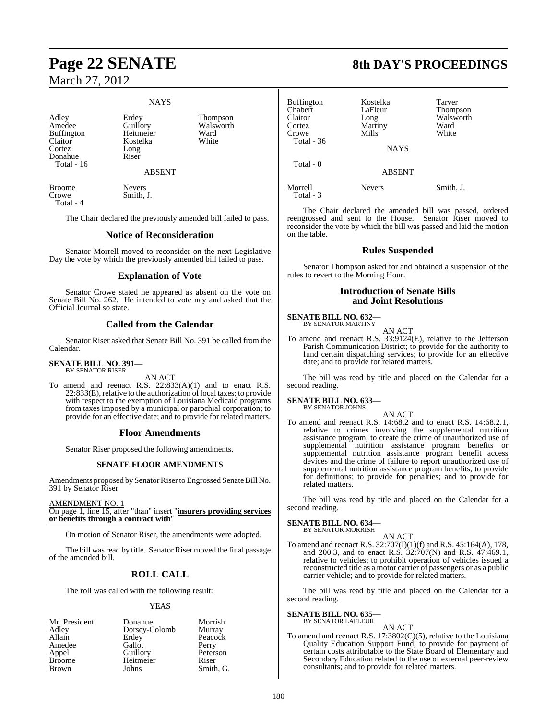# **Page 22 SENATE 8th DAY'S PROCEEDINGS** March 27, 2012

#### **NAYS**

Adley Erdey Thompson<br>Amedee Guillory Walsworth Buffington Heitmeier Ward<br>Claitor Kostelka White Claitor Kostelka<br>Cortez Long Cortez Long<br>
Donahue Riser Donahue Total - 16

Guillory Walsworth<br>
Heitmeier Ward

ABSENT

Broome Nevers<br>Crowe Smith. Total - 4

Smith, J.

The Chair declared the previously amended bill failed to pass.

#### **Notice of Reconsideration**

Senator Morrell moved to reconsider on the next Legislative Day the vote by which the previously amended bill failed to pass.

#### **Explanation of Vote**

Senator Crowe stated he appeared as absent on the vote on Senate Bill No. 262. He intended to vote nay and asked that the Official Journal so state.

#### **Called from the Calendar**

Senator Riser asked that Senate Bill No. 391 be called from the Calendar.

#### **SENATE BILL NO. 391—** BY SENATOR RISER

AN ACT

To amend and reenact R.S. 22:833(A)(1) and to enact R.S. 22:833(E), relative to the authorization of local taxes; to provide with respect to the exemption of Louisiana Medicaid programs from taxes imposed by a municipal or parochial corporation; to provide for an effective date; and to provide for related matters.

#### **Floor Amendments**

Senator Riser proposed the following amendments.

#### **SENATE FLOOR AMENDMENTS**

Amendments proposed by Senator Riser to Engrossed Senate Bill No. 391 by Senator Riser

#### AMENDMENT NO. 1

On page 1, line 15, after "than" insert "**insurers providing services or benefits through a contract with**"

On motion of Senator Riser, the amendments were adopted.

The bill was read by title. Senator Riser moved the final passage of the amended bill.

#### **ROLL CALL**

The roll was called with the following result:

#### YEAS

| Mr. President | Donahue       | Morrish   |
|---------------|---------------|-----------|
| Adley         | Dorsey-Colomb | Murray    |
| Allain        | Erdey         | Peacock   |
| Amedee        | Gallot        | Perry     |
| Appel         | Guillory      | Peterson  |
| <b>Broome</b> | Heitmeier     | Riser     |
| Brown         | Johns         | Smith, G. |

| <b>Buffington</b><br>Chabert<br>Claitor<br>Cortez<br>Crowe | Kostelka<br>LaFleur<br>Long<br>Martiny<br>Mills | Tarver<br>Thompson<br>Walsworth<br>Ward<br>White |
|------------------------------------------------------------|-------------------------------------------------|--------------------------------------------------|
| Total - $36$                                               | <b>NAYS</b>                                     |                                                  |
| Total - 0                                                  | <b>ABSENT</b>                                   |                                                  |
| Morrell<br>Total - 3                                       | <b>Nevers</b>                                   | Smith, J.                                        |

The Chair declared the amended bill was passed, ordered reengrossed and sent to the House. Senator Riser moved to reconsider the vote by which the bill was passed and laid the motion on the table.

#### **Rules Suspended**

Senator Thompson asked for and obtained a suspension of the rules to revert to the Morning Hour.

#### **Introduction of Senate Bills and Joint Resolutions**

**SENATE BILL NO. 632—** BY SENATOR MARTINY

AN ACT

To amend and reenact R.S. 33:9124(E), relative to the Jefferson Parish Communication District; to provide for the authority to fund certain dispatching services; to provide for an effective date; and to provide for related matters.

The bill was read by title and placed on the Calendar for a second reading.

#### **SENATE BILL NO. 633—** BY SENATOR JOHNS

AN ACT

To amend and reenact R.S. 14:68.2 and to enact R.S. 14:68.2.1, relative to crimes involving the supplemental nutrition assistance program; to create the crime of unauthorized use of supplemental nutrition assistance program benefits or supplemental nutrition assistance program benefit access devices and the crime of failure to report unauthorized use of supplemental nutrition assistance program benefits; to provide for definitions; to provide for penalties; and to provide for related matters.

The bill was read by title and placed on the Calendar for a second reading.

#### **SENATE BILL NO. 634—**

BY SENATOR MORRISH

AN ACT To amend and reenact R.S. 32:707(I)(1)(f) and R.S. 45:164(A), 178, and 200.3, and to enact R.S. 32:707(N) and R.S. 47:469.1, relative to vehicles; to prohibit operation of vehicles issued a reconstructed title as a motor carrier of passengers or as a public carrier vehicle; and to provide for related matters.

The bill was read by title and placed on the Calendar for a second reading.

**SENATE BILL NO. 635** BY SENATOR LAFLEUR

#### AN ACT

To amend and reenact R.S. 17:3802(C)(5), relative to the Louisiana Quality Education Support Fund; to provide for payment of certain costs attributable to the State Board of Elementary and Secondary Education related to the use of external peer-review consultants; and to provide for related matters.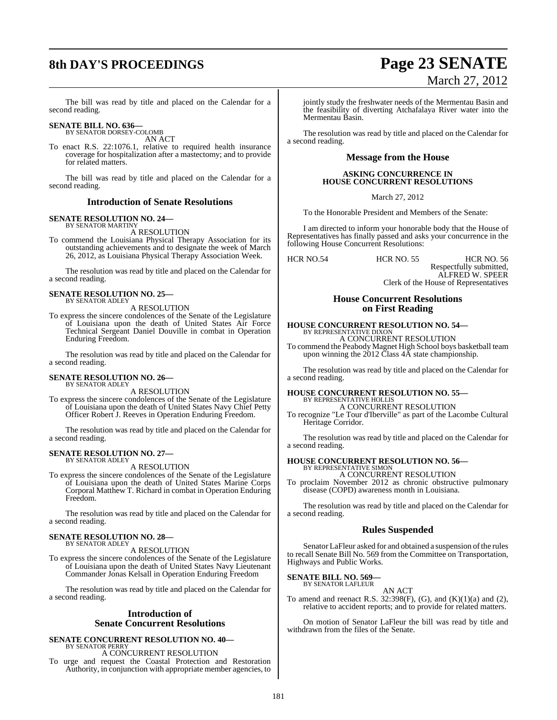# **8th DAY'S PROCEEDINGS Page 23 SENATE**

# March 27, 2012

The bill was read by title and placed on the Calendar for a second reading.

# **SENATE BILL NO. 636—** BY SENATOR DORSEY-COLOMB

AN ACT

To enact R.S. 22:1076.1, relative to required health insurance coverage for hospitalization after a mastectomy; and to provide for related matters.

The bill was read by title and placed on the Calendar for a second reading.

#### **Introduction of Senate Resolutions**

#### **SENATE RESOLUTION NO. 24—** BY SENATOR MARTINY

A RESOLUTION

To commend the Louisiana Physical Therapy Association for its outstanding achievements and to designate the week of March 26, 2012, as Louisiana Physical Therapy Association Week.

The resolution was read by title and placed on the Calendar for a second reading.

#### **SENATE RESOLUTION NO. 25—** BY SENATOR ADLEY

A RESOLUTION

To express the sincere condolences of the Senate of the Legislature of Louisiana upon the death of United States Air Force Technical Sergeant Daniel Douville in combat in Operation Enduring Freedom.

The resolution was read by title and placed on the Calendar for a second reading.

#### **SENATE RESOLUTION NO. 26—** BY SENATOR ADLEY

A RESOLUTION

To express the sincere condolences of the Senate of the Legislature of Louisiana upon the death of United States Navy Chief Petty Officer Robert J. Reeves in Operation Enduring Freedom.

The resolution was read by title and placed on the Calendar for a second reading.

#### **SENATE RESOLUTION NO. 27—** BY SENATOR ADLEY

A RESOLUTION

To express the sincere condolences of the Senate of the Legislature of Louisiana upon the death of United States Marine Corps Corporal Matthew T. Richard in combat in Operation Enduring Freedom.

The resolution was read by title and placed on the Calendar for a second reading.

#### **SENATE RESOLUTION NO. 28—** BY SENATOR ADLEY

A RESOLUTION

To express the sincere condolences of the Senate of the Legislature of Louisiana upon the death of United States Navy Lieutenant Commander Jonas Kelsall in Operation Enduring Freedom

The resolution was read by title and placed on the Calendar for a second reading.

#### **Introduction of Senate Concurrent Resolutions**

# **SENATE CONCURRENT RESOLUTION NO. 40—** BY SENATOR PERRY

A CONCURRENT RESOLUTION

To urge and request the Coastal Protection and Restoration Authority, in conjunction with appropriate member agencies, to

jointly study the freshwater needs of the Mermentau Basin and the feasibility of diverting Atchafalaya River water into the Mermentau Basin.

The resolution was read by title and placed on the Calendar for a second reading.

### **Message from the House**

#### **ASKING CONCURRENCE IN HOUSE CONCURRENT RESOLUTIONS**

March 27, 2012

To the Honorable President and Members of the Senate:

I am directed to inform your honorable body that the House of Representatives has finally passed and asks your concurrence in the following House Concurrent Resolutions:

HCR NO.54 HCR NO. 55 HCR NO. 56

Respectfully submitted, ALFRED W. SPEER Clerk of the House of Representatives

#### **House Concurrent Resolutions on First Reading**

## **HOUSE CONCURRENT RESOLUTION NO. 54—** BY REPRESENTATIVE DIXON A CONCURRENT RESOLUTION

To commend the Peabody Magnet High School boys basketball team upon winning the 2012 Class 4A state championship.

The resolution was read by title and placed on the Calendar for a second reading.

#### **HOUSE CONCURRENT RESOLUTION NO. 55—** BY REPRESENTATIVE HOLLIS

A CONCURRENT RESOLUTION

To recognize "Le Tour d'Iberville" as part of the Lacombe Cultural Heritage Corridor.

The resolution was read by title and placed on the Calendar for a second reading.

# **HOUSE CONCURRENT RESOLUTION NO. 56—** BY REPRESENTATIVE SIMON

A CONCURRENT RESOLUTION To proclaim November 2012 as chronic obstructive pulmonary disease (COPD) awareness month in Louisiana.

The resolution was read by title and placed on the Calendar for a second reading.

#### **Rules Suspended**

Senator LaFleur asked for and obtained a suspension of the rules to recall Senate Bill No. 569 from the Committee on Transportation, Highways and Public Works.

# **SENATE BILL NO. 569—** BY SENATOR LAFLEUR

AN ACT To amend and reenact R.S.  $32:398(F)$ , (G), and (K)(1)(a) and (2), relative to accident reports; and to provide for related matters.

On motion of Senator LaFleur the bill was read by title and withdrawn from the files of the Senate.